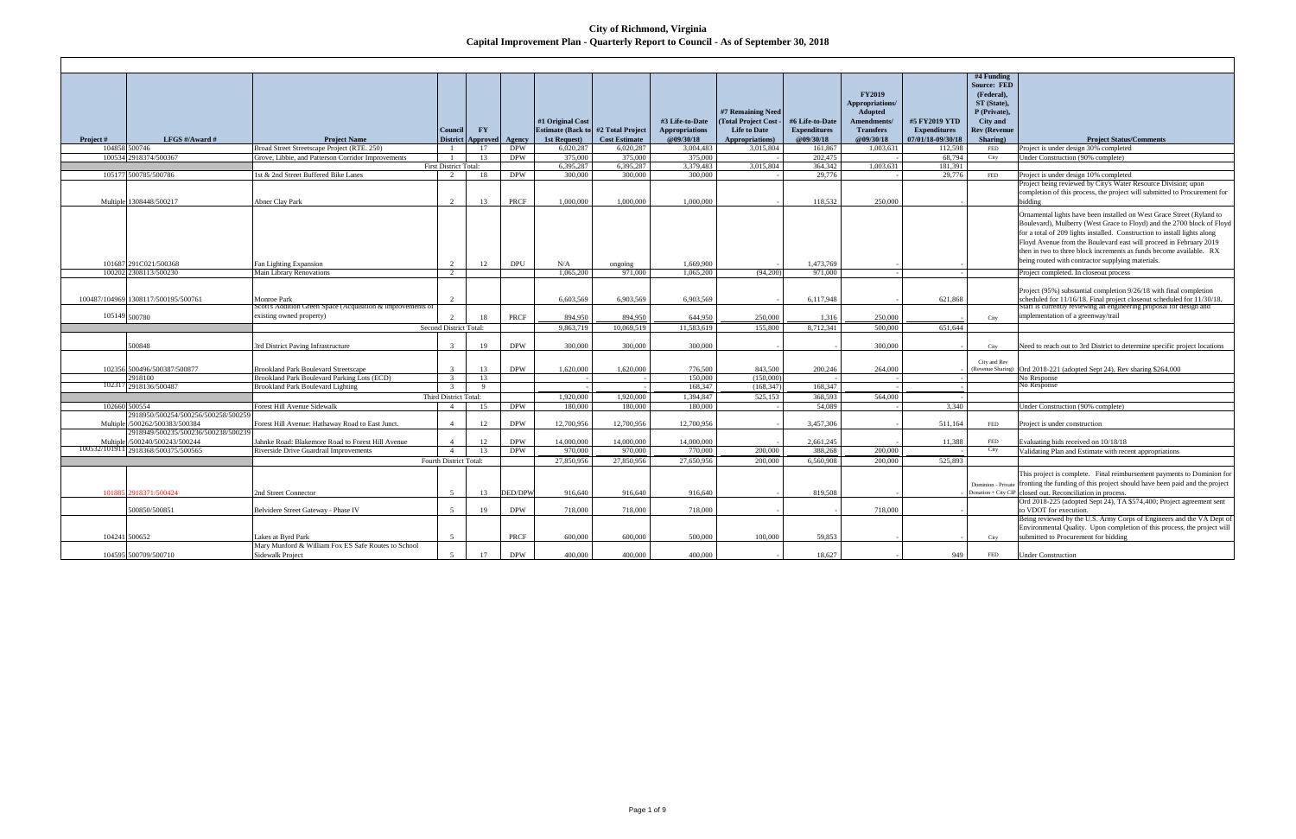## **City of Richmond, Virginia Capital Improvement Plan - Quarterly Report to Council - As of September 30, 2018**

|               |                                     |                                                                           |                                   |                   |                |                          |                      |                       |                     |                     |                  |                     | #4 Funding                        |                                                                                                                  |
|---------------|-------------------------------------|---------------------------------------------------------------------------|-----------------------------------|-------------------|----------------|--------------------------|----------------------|-----------------------|---------------------|---------------------|------------------|---------------------|-----------------------------------|------------------------------------------------------------------------------------------------------------------|
|               |                                     |                                                                           |                                   |                   |                |                          |                      |                       |                     |                     |                  |                     | <b>Source: FED</b>                |                                                                                                                  |
|               |                                     |                                                                           |                                   |                   |                |                          |                      |                       |                     |                     | <b>FY2019</b>    |                     | (Federal),                        |                                                                                                                  |
|               |                                     |                                                                           |                                   |                   |                |                          |                      |                       |                     |                     | Appropriations/  |                     | ST (State),                       |                                                                                                                  |
|               |                                     |                                                                           |                                   |                   |                |                          |                      |                       | #7 Remaining Need   |                     | Adopted          |                     | P (Private),                      |                                                                                                                  |
|               |                                     |                                                                           |                                   |                   |                | #1 Original Cost         |                      | #3 Life-to-Date       | (Total Project Cost | #6 Life-to-Date     | Amendments/      | #5 FY2019 YTD       | <b>City</b> and                   |                                                                                                                  |
|               |                                     |                                                                           | Council                           | $\Gamma Y$        |                | <b>Estimate (Back to</b> | #2 Total Project     | <b>Appropriations</b> | <b>Life to Date</b> | <b>Expenditures</b> | <b>Transfers</b> | <b>Expenditures</b> | <b>Rev (Revenue</b>               |                                                                                                                  |
| Project#      | LFGS #/Award #                      | <b>Project Name</b>                                                       |                                   | District Approved | Agency         | 1st Request)             | <b>Cost Estimate</b> | @09/30/18             | Appropriations)     | @09/30/18           | @09/30/18        | 07/01/18-09/30/18   | Sharing)                          | <b>Project Status/Comments</b>                                                                                   |
|               | 104858 500746                       | Broad Street Streetscape Project (RTE. 250)                               |                                   | 17                | <b>DPW</b>     | 6,020,287                | 6,020,287            | 3.004.483             | 3.015.804           | 161,867             | 1,003,631        | 112,598             | <b>FED</b>                        | Project is under design 30% completed                                                                            |
|               | 100534 2918374/500367               | Grove, Libbie, and Patterson Corridor Improvements                        |                                   | 13                | <b>DPW</b>     | 375,000                  | 375,000              | 375,000               |                     | 202,475             |                  | 68,794              | City                              | Jnder Construction (90% complete)                                                                                |
|               | 105177 500785/500786                | 1st & 2nd Street Buffered Bike Lanes                                      | <b>First District Total:</b><br>2 |                   | <b>DPW</b>     | 6.395.287<br>300,000     | 6.395.287<br>300.000 | 3,379,483<br>300.000  | 3,015,804           | 364,342<br>29,776   | 1,003,631        | 181.391<br>29,776   |                                   |                                                                                                                  |
|               |                                     |                                                                           |                                   | 18                |                |                          |                      |                       |                     |                     |                  |                     | <b>FED</b>                        | Project is under design 10% completed<br>Project being reviewed by City's Water Resource Division; upon          |
|               |                                     |                                                                           |                                   |                   |                |                          |                      |                       |                     |                     |                  |                     |                                   | completion of this process, the project will submitted to Procurement for                                        |
|               | Multiple 1308448/500217             | Abner Clay Park                                                           |                                   | 13                | <b>PRCF</b>    | 1,000,000                | 1,000,000            | 1,000,000             |                     | 118,532             | 250,000          |                     |                                   | bidding                                                                                                          |
|               |                                     |                                                                           |                                   |                   |                |                          |                      |                       |                     |                     |                  |                     |                                   |                                                                                                                  |
|               |                                     |                                                                           |                                   |                   |                |                          |                      |                       |                     |                     |                  |                     |                                   | Ornamental lights have been installed on West Grace Street (Ryland to                                            |
|               |                                     |                                                                           |                                   |                   |                |                          |                      |                       |                     |                     |                  |                     |                                   | Boulevard), Mulberry (West Grace to Floyd) and the 2700 block of Floyd                                           |
|               |                                     |                                                                           |                                   |                   |                |                          |                      |                       |                     |                     |                  |                     |                                   | for a total of 209 lights installed. Construction to install lights along                                        |
|               |                                     |                                                                           |                                   |                   |                |                          |                      |                       |                     |                     |                  |                     |                                   | Floyd Avenue from the Boulevard east will proceed in February 2019                                               |
|               |                                     |                                                                           |                                   |                   |                |                          |                      |                       |                     |                     |                  |                     |                                   | then in two to three block increments as funds become available. RX                                              |
|               | 101687 291C021/500368               | <b>Fan Lighting Expansion</b>                                             |                                   | 12                | <b>DPU</b>     | N/A                      | ongoing              | 1,669,900             |                     | 1,473,769           |                  |                     |                                   | being routed with contractor supplying materials.                                                                |
|               | 100202 2308113/500230               | <b>Main Library Renovations</b>                                           | 2                                 |                   |                | 1,065,200                | 971,000              | 1.065.200             | (94.200)            | 971,000             |                  |                     |                                   | Project completed. In closeout process                                                                           |
|               |                                     |                                                                           |                                   |                   |                |                          |                      |                       |                     |                     |                  |                     |                                   |                                                                                                                  |
|               |                                     |                                                                           |                                   |                   |                |                          |                      |                       |                     |                     |                  |                     |                                   | Project (95%) substantial completion 9/26/18 with final completion                                               |
|               | 100487/104969 1308117/500195/500761 | Monroe Park                                                               |                                   |                   |                | 6,603,569                | 6,903,569            | 6,903,569             |                     | 6,117,948           |                  | 621,868             |                                   | scheduled for 11/16/18. Final project closeout scheduled for 11/30/18.                                           |
|               |                                     | Scott's Addition Green Space (Acquisition & improvements of               |                                   |                   |                |                          |                      |                       |                     |                     |                  |                     |                                   | Staff is currently reviewing an engineering proposal for design and                                              |
| 105149 500780 |                                     | existing owned property)                                                  |                                   | 18                | PRCF           | 894.950                  | 894,950              | 644,950               | 250,000             | 1,316               | 250,000          |                     | City                              | implementation of a greenway/trail                                                                               |
|               |                                     |                                                                           | Second District Total:            |                   |                | 9.863.719                | 10.069.519           | 11.583.619            | 155,800             | 8.712.341           | 500,000          | 651.644             |                                   |                                                                                                                  |
|               |                                     |                                                                           |                                   |                   |                |                          |                      |                       |                     |                     |                  |                     |                                   |                                                                                                                  |
|               | 500848                              | 3rd District Paving Infrastructure                                        |                                   | 19                | <b>DPW</b>     | 300,000                  | 300,000              | 300,000               |                     |                     | 300,000          |                     | City                              | Need to reach out to 3rd District to determine specific project locations                                        |
|               |                                     |                                                                           |                                   |                   |                |                          |                      |                       |                     |                     |                  |                     |                                   |                                                                                                                  |
|               | 102356 500496/500387/500877         | <b>Brookland Park Boulevard Streetscape</b>                               |                                   | 13                | <b>DPW</b>     | 1,620,000                | 1,620,000            | 776,500               | 843.500             | 200.246             | 264,000          |                     | City and Rev<br>(Revenue Sharing) | Ord 2018-221 (adopted Sept 24), Rev sharing \$264,000                                                            |
|               | 2918100                             | Brookland Park Boulevard Parking Lots (ECD)                               |                                   | 13                |                |                          |                      | 150,000               | (150,000)           |                     |                  |                     |                                   | No Response                                                                                                      |
| 102317        | 2918136/500487                      | <b>Brookland Park Boulevard Lighting</b>                                  | 3                                 | - 9               |                |                          |                      | 168,347               | (168, 347)          | 168,347             |                  |                     |                                   | No Response                                                                                                      |
|               |                                     |                                                                           | Third District Total:             |                   |                | 1,920,000                | 1,920,000            | 1,394,847             | 525,153             | 368.593             | 564,000          |                     |                                   |                                                                                                                  |
|               | 102660 500554                       | Forest Hill Avenue Sidewalk                                               | $\overline{4}$                    | 15                | <b>DPW</b>     | 180,000                  | 180,000              | 180,000               |                     | 54,089              |                  | 3,340               |                                   | Under Construction (90% complete)                                                                                |
|               | 918950/500254/500256/500258/500259  |                                                                           |                                   |                   |                |                          |                      |                       |                     |                     |                  |                     |                                   |                                                                                                                  |
| Multiple      | 500262/500383/500384                | Forest Hill Avenue: Hathaway Road to East Junct.                          | $\overline{4}$                    | 12                | <b>DPW</b>     | 12,700,956               | 12,700,956           | 12,700,956            |                     | 3,457,306           |                  | 511,164             | <b>FED</b>                        | Project is under construction                                                                                    |
|               | 2918949/500235/500236/500238/500239 |                                                                           |                                   |                   |                |                          |                      |                       |                     |                     |                  |                     |                                   |                                                                                                                  |
| Multiple      | 500240/500243/500244                | Jahnke Road: Blakemore Road to Forest Hill Avenue                         |                                   | 12                | <b>DPW</b>     | 14.000.000               | 14.000.000           | 14.000.000            |                     | 2.661.245           |                  | 11.388              | <b>FED</b>                        | Evaluating bids received on 10/18/18                                                                             |
| 100532/101911 | 2918368/500375/500565               | Riverside Drive Guardrail Improvements                                    | $\overline{4}$                    | 13                | <b>DPW</b>     | 970,000                  | 970,000              | 770,000               | 200,000             | 388.268             | 200,000          |                     | City                              | Validating Plan and Estimate with recent appropriations                                                          |
|               |                                     |                                                                           | <b>Fourth District Total:</b>     |                   |                | 27.850.956               | 27.850.956           | 27.650.956            | 200.000             | 6.560.908           | 200,000          | 525.893             |                                   |                                                                                                                  |
|               |                                     |                                                                           |                                   |                   |                |                          |                      |                       |                     |                     |                  |                     |                                   |                                                                                                                  |
|               |                                     |                                                                           |                                   |                   |                |                          |                      |                       |                     |                     |                  |                     |                                   | This project is complete. Final reimbursement payments to Dominion for                                           |
|               |                                     |                                                                           |                                   |                   |                |                          |                      |                       |                     |                     |                  |                     | Dominion - Private                | fronting the funding of this project should have been paid and the project                                       |
|               | 101885 2918371/500424               | 2nd Street Connector                                                      |                                   | 13                | <b>DED/DPW</b> | 916,640                  | 916,640              | 916,640               |                     | 819,508             |                  |                     | Donation + City CIP               | closed out. Reconciliation in process.                                                                           |
|               |                                     |                                                                           |                                   |                   |                |                          |                      |                       |                     |                     |                  |                     |                                   | Ord 2018-225 (adopted Sept 24), TA \$574,400; Project agreement sent                                             |
|               | 500850/500851                       | Belvidere Street Gateway - Phase IV                                       | $\overline{\phantom{0}}$          | 19                | <b>DPW</b>     | 718,000                  | 718,000              | 718,000               |                     |                     | 718,000          |                     |                                   | o VDOT for execution.                                                                                            |
|               |                                     |                                                                           |                                   |                   |                |                          |                      |                       |                     |                     |                  |                     |                                   | Being reviewed by the U.S. Army Corps of Engineers and the VA Dept of                                            |
|               | 500652                              |                                                                           |                                   |                   | PRCF           | 600,000                  | 600.000              | 500.000               | 100.000             | 59.853              |                  |                     |                                   | Environmental Quality. Upon completion of this process, the project will<br>submitted to Procurement for bidding |
| 104241        |                                     | Lakes at Bvrd Park<br>Mary Munford & William Fox ES Safe Routes to School |                                   |                   |                |                          |                      |                       |                     |                     |                  |                     | City                              |                                                                                                                  |
|               | 104595 500709/500710                | <b>Sidewalk Project</b>                                                   |                                   | 17                | <b>DPW</b>     | 400.000                  | 400.000              | 400.000               |                     | 18.627              |                  | 949                 | <b>FED</b>                        | <b>Under Construction</b>                                                                                        |
|               |                                     |                                                                           |                                   |                   |                |                          |                      |                       |                     |                     |                  |                     |                                   |                                                                                                                  |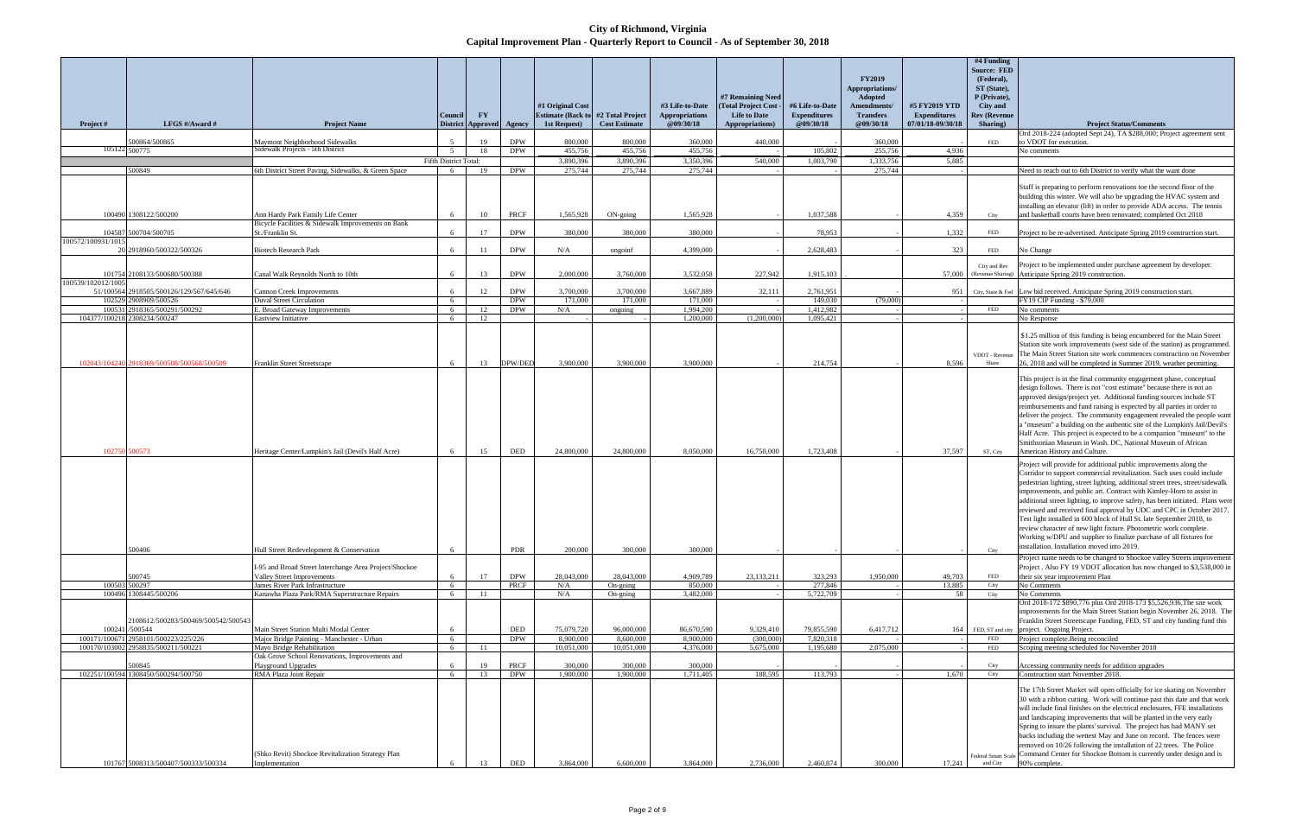**City of Richmond, Virginia Capital Improvement Plan - Quarterly Report to Council - As of September 30, 2018**

|                              |                                                                          |                                                                                             | Council                    | FY                       |                    | #1 Original Cost<br><b>Estimate (Back to</b> | #2 Total Project        | #3 Life-to-Date<br><b>Appropriations</b> | #7 Remaining Need<br>(Total Project Cost<br><b>Life to Date</b> | #6 Life-to-Date<br><b>Expenditures</b> | <b>FY2019</b><br>Appropriations/<br>Adopted<br>Amendments/<br><b>Transfers</b> | #5 FY2019 YTD<br><b>Expenditures</b> | #4 Funding<br><b>Source: FED</b><br>(Federal),<br>ST (State),<br>P (Private),<br><b>City and</b><br><b>Rev (Revenue</b> |                                                                                                                                                                                                                                                                                                                                                                                                                                                                                                                                                                                                                                                                                                                                    |
|------------------------------|--------------------------------------------------------------------------|---------------------------------------------------------------------------------------------|----------------------------|--------------------------|--------------------|----------------------------------------------|-------------------------|------------------------------------------|-----------------------------------------------------------------|----------------------------------------|--------------------------------------------------------------------------------|--------------------------------------|-------------------------------------------------------------------------------------------------------------------------|------------------------------------------------------------------------------------------------------------------------------------------------------------------------------------------------------------------------------------------------------------------------------------------------------------------------------------------------------------------------------------------------------------------------------------------------------------------------------------------------------------------------------------------------------------------------------------------------------------------------------------------------------------------------------------------------------------------------------------|
| Project #                    | LFGS #/Award #                                                           | <b>Project Name</b>                                                                         |                            | <b>District Approved</b> | Agency             | 1st Request)                                 | <b>Cost Estimate</b>    | @09/30/18                                | Appropriations)                                                 | @09/30/18                              | @09/30/18                                                                      | 07/01/18-09/30/18                    | Sharing)                                                                                                                | <b>Project Status/Comments</b><br>Ord 2018-224 (adopted Sept 24), TA \$288,000; Project agreement sent                                                                                                                                                                                                                                                                                                                                                                                                                                                                                                                                                                                                                             |
|                              | 500864/500865                                                            | Maymont Neighborhood Sidewalks                                                              |                            | 19                       | <b>DPW</b>         | 800,000                                      | 800,000                 | 360,000                                  | 440,000                                                         |                                        | 360,000                                                                        |                                      | FED                                                                                                                     | o VDOT for execution.                                                                                                                                                                                                                                                                                                                                                                                                                                                                                                                                                                                                                                                                                                              |
| 105122 500775                |                                                                          | Sidewalk Projects - 5th District                                                            | - 5                        | 18                       | <b>DPW</b>         | 455,756                                      | 455,756                 | 455,756                                  |                                                                 | 105,802                                | 255,756                                                                        | 4,936                                |                                                                                                                         | No comments                                                                                                                                                                                                                                                                                                                                                                                                                                                                                                                                                                                                                                                                                                                        |
|                              | 500849                                                                   | 6th District Street Paving, Sidewalks, & Green Space                                        | Fifth District Total:<br>6 | 19                       | <b>DPW</b>         | 3,890,396<br>275,744                         | 3,890,396<br>275,744    | 3,350,396<br>275,744                     | 540,000                                                         | 1,003,790                              | 1,333,756<br>275,744                                                           | 5,885                                |                                                                                                                         | Need to reach out to 6th District to verify what the want done                                                                                                                                                                                                                                                                                                                                                                                                                                                                                                                                                                                                                                                                     |
|                              |                                                                          |                                                                                             |                            |                          |                    |                                              |                         |                                          |                                                                 |                                        |                                                                                |                                      |                                                                                                                         | Staff is preparing to perform renovations toe the second floor of the<br>building this winter. We will also be upgrading the HVAC system and<br>installing an elevator (lift) in order to provide ADA access. The tennis                                                                                                                                                                                                                                                                                                                                                                                                                                                                                                           |
|                              | 100490 1308122/500200                                                    | Ann Hardy Park Family Life Center<br>Bicycle Facilities & Sidewalk Improvements on Bank     |                            | 10                       | <b>PRCF</b>        | 1,565,928                                    | $ON$ -going             | 1,565,928                                |                                                                 | 1,037,588                              |                                                                                | 4,359                                | City                                                                                                                    | and basketball courts have been renovated; completed Oct 2018                                                                                                                                                                                                                                                                                                                                                                                                                                                                                                                                                                                                                                                                      |
| 104587<br>100572/100931/101: | 500704/500705                                                            | St./Franklin St.                                                                            | 6                          | 17                       | <b>DPW</b>         | 380,000                                      | 380,000                 | 380,000                                  |                                                                 | 78,953                                 |                                                                                | 1,332                                | <b>FED</b>                                                                                                              | Project to be re-advertised. Anticipate Spring 2019 construction start.                                                                                                                                                                                                                                                                                                                                                                                                                                                                                                                                                                                                                                                            |
|                              | 20 2918960/500322/500326                                                 | <b>Biotech Research Park</b>                                                                | 6                          | 11                       | <b>DPW</b>         | N/A                                          | ongoinf                 | 4,399,000                                |                                                                 | 2,628,483                              |                                                                                | 323                                  | FED                                                                                                                     | No Change                                                                                                                                                                                                                                                                                                                                                                                                                                                                                                                                                                                                                                                                                                                          |
|                              | 101754 2108133/500680/500388                                             | Canal Walk Revnolds North to 10th                                                           | 6                          | 13                       | <b>DPW</b>         | 2,000,000                                    | 3,760,000               | 3,532,058                                | 227,942                                                         | 1,915,103                              |                                                                                | 57,000                               | City and Rev                                                                                                            | Project to be implemented under purchase agreement by developer.<br>(Revenue Sharing) Anticipate Spring 2019 construction.                                                                                                                                                                                                                                                                                                                                                                                                                                                                                                                                                                                                         |
| 100539/102012/100            | 51/100564 2918505/500126/129/567/645/646                                 | Cannon Creek Improvements                                                                   | 6                          | 12                       | <b>DPW</b>         | 3,700,000                                    | 3,700,000               | 3,667,889                                | 32,111                                                          | 2,761,951                              |                                                                                | 951                                  |                                                                                                                         | City, State & Fed Low bid received. Anticipate Spring 2019 construction start.                                                                                                                                                                                                                                                                                                                                                                                                                                                                                                                                                                                                                                                     |
| 102529                       | 908909/500526                                                            | <b>Duval Street Circulation</b>                                                             | 6                          |                          | <b>DPW</b>         | 171,000                                      | 171,000                 | 171,000                                  |                                                                 | 149,030                                | (79,000)                                                                       |                                      |                                                                                                                         | FY19 CIP Funding - \$79,000                                                                                                                                                                                                                                                                                                                                                                                                                                                                                                                                                                                                                                                                                                        |
| 100531<br>104377/10021       | 2918365/500291/500292<br>308234/500247                                   | E. Broad Gateway Improvements<br>Eastview Initiative                                        | 6<br>6                     | 12<br>12                 | <b>DPW</b>         | N/A                                          | ongoing                 | 1,994,200<br>1,200,000                   | (1,200,000)                                                     | 1,412,982<br>1,095,421                 |                                                                                |                                      | FED                                                                                                                     | No comments<br>No Response                                                                                                                                                                                                                                                                                                                                                                                                                                                                                                                                                                                                                                                                                                         |
|                              | 102043/104240 2918369/500508/500568/500509                               | Franklin Street Streetscape                                                                 | 6                          | 13                       | DPW/DEI            | 3,900,000                                    | 3,900,000               | 3,900,000                                |                                                                 | 214,754                                |                                                                                | 8,596                                | VDOT - Revenue<br>Share                                                                                                 | \$1.25 million of this funding is being encumbered for the Main Street<br>Station site work improvements (west side of the station) as programmed.<br>The Main Street Station site work commences construction on November<br>26, 2018 and will be completed in Summer 2019, weather permitting.                                                                                                                                                                                                                                                                                                                                                                                                                                   |
| 102750                       | 00573                                                                    | Heritage Center/Lumpkin's Jail (Devil's Half Acre)                                          | 6                          | 15                       | <b>DED</b>         | 24,800,000                                   | 24,800,000              | 8,050,000                                | 16,750,000                                                      | 1,723,408                              |                                                                                | 37,597                               | ST, City                                                                                                                | This project is in the final community engagement phase, conceptual<br>design follows. There is not "cost estimate" because there is not an<br>approved design/project yet. Additional funding sources include ST<br>reimbursements and fund raising is expected by all parties in order to<br>deliver the project. The community engagement revealed the people want<br>a "museum" a building on the authentic site of the Lumpkin's Jail/Devil's<br>Half Acre. This project is expected to be a companion "museum" to the<br>Smithsonian Museum in Wash. DC, National Museum of African<br>American History and Culture.                                                                                                         |
|                              | 500406                                                                   | Hull Street Redevelopment & Conservation                                                    | 6                          |                          | PDR                | 200,000                                      | 300,000                 | 300,000                                  |                                                                 |                                        |                                                                                |                                      | City                                                                                                                    | Project will provide for additional public improvements along the<br>Corridor to support commercial revitalization. Such uses could include<br>pedestrian lighting, street lighting, additional street trees, street/sidewalk<br>improvements, and public art. Contract with Kimley-Horn to assist in<br>additional street lighting, to improve safety, has been initiated. Plans were<br>reviewed and received final approval by UDC and CPC in October 2017.<br>Test light installed in 600 block of Hull St. late September 2018, to<br>review character of new light fixture. Photometric work complete.<br>Working w/DPU and supplier to finalize purchase of all fixtures for<br>installation. Installation moved into 2019. |
|                              |                                                                          |                                                                                             |                            |                          |                    |                                              |                         |                                          |                                                                 |                                        |                                                                                |                                      |                                                                                                                         | Project name needs to be changed to Shockoe valley Streets improvement                                                                                                                                                                                                                                                                                                                                                                                                                                                                                                                                                                                                                                                             |
|                              | 500745                                                                   | I-95 and Broad Street Interchange Area Project/Shockoe<br><b>Valley Street Improvements</b> | 6                          | 17                       | <b>DPW</b>         | 28,043,000                                   | 28,043,000              | 4,909,789                                | 23,133,211                                                      | 323,293                                | 1,950,000                                                                      | 49,703                               | FED                                                                                                                     | Project . Also FY 19 VDOT allocation has now changed to \$3,538,000 in<br>their six year improvement Plan                                                                                                                                                                                                                                                                                                                                                                                                                                                                                                                                                                                                                          |
| 100503 500297                |                                                                          | James River Park Infrastructure                                                             | 6                          |                          | <b>PRCF</b>        | N/A                                          | On-going                | 850,000                                  |                                                                 | 277,846                                |                                                                                | 13,885                               | City                                                                                                                    | No Comments                                                                                                                                                                                                                                                                                                                                                                                                                                                                                                                                                                                                                                                                                                                        |
|                              | 100496 1308445/500206                                                    | Kanawha Plaza Park/RMA Superstructure Repairs                                               | 6                          | 11                       |                    | N/A                                          | On-going                | 3,482,000                                |                                                                 | 5,722,709                              |                                                                                | 58                                   | City                                                                                                                    | No Comments                                                                                                                                                                                                                                                                                                                                                                                                                                                                                                                                                                                                                                                                                                                        |
| 100241<br>100171/10067       | 2108612/500283/500469/500542/500543<br>/500544<br>2958101/500223/225/226 | Main Street Station Multi Modal Center<br>Major Bridge Painting - Manchester - Urban        | 6                          |                          | DED<br><b>DPW</b>  | 75,079,720<br>8,900,000                      | 96,000,000<br>8,600,000 | 86,670,590<br>8,900,000                  | 9,329,410<br>(300,000)                                          | 79,855,590<br>7,820,318                | 6,417,712                                                                      | 164                                  | FED                                                                                                                     | Ord 2018-172 \$890,776 plus Ord 2018-173 \$5,526,936, The site work<br>improvements for the Main Street Station begin November 26, 2018. The<br>Franklin Street Streetscape Funding, FED, ST and city funding fund this<br>FED, ST and city project. Ongoing Project.<br>Project complete.Being reconciled                                                                                                                                                                                                                                                                                                                                                                                                                         |
|                              | 100170/103002 2958835/500211/500221                                      | Mayo Bridge Rehabilitation                                                                  | 6                          | 11                       |                    | 10,051,000                                   | 10,051,000              | 4,376,000                                | 5,675,000                                                       | 1,195,680                              | 2,075,000                                                                      |                                      | FED                                                                                                                     | Scoping meeting scheduled for November 2018                                                                                                                                                                                                                                                                                                                                                                                                                                                                                                                                                                                                                                                                                        |
|                              |                                                                          | Oak Grove School Renovations, Improvements and                                              |                            |                          |                    |                                              |                         |                                          |                                                                 |                                        |                                                                                |                                      |                                                                                                                         |                                                                                                                                                                                                                                                                                                                                                                                                                                                                                                                                                                                                                                                                                                                                    |
| 102251/100594                | 500845<br>1308450/500294/500750                                          | Playground Upgrades<br>RMA Plaza Joint Repair                                               | 6                          | 19<br>13                 | PRCF<br><b>DPW</b> | 300,000<br>1,900,000                         | 300,000<br>1,900,000    | 300,000<br>1,711,405                     | 188,595                                                         | 113,793                                |                                                                                | 1,670                                | City<br>City                                                                                                            | Accessing community needs for addition upgrades<br>Construction start November 2018.                                                                                                                                                                                                                                                                                                                                                                                                                                                                                                                                                                                                                                               |
|                              | 101767 5008313/500407/500333/500334                                      | (Shko Revit) Shockoe Revitalization Strategy Plan<br>Implementation                         |                            | 13                       | DED                | 3,864,000                                    | 6,600,000               | 3,864,000                                | 2,736,000                                                       | 2,460,874                              | 300,000                                                                        | 17,241                               | and City                                                                                                                | The 17th Street Market will open officially for ice skating on November<br>30 with a ribbon cutting. Work will continue past this date and that work<br>will include final finishes on the electrical enclosures, FFE installations<br>and landscaping improvements that will be planted in the very early<br>Spring to insure the plants' survival. The project has had MANY set<br>backs including the wettest May and June on record. The fences were<br>removed on 10/26 following the installation of 22 trees. The Police<br>Federal Smart Scale Command Center for Shockoe Bottom is currently under design and is<br>90% complete.                                                                                         |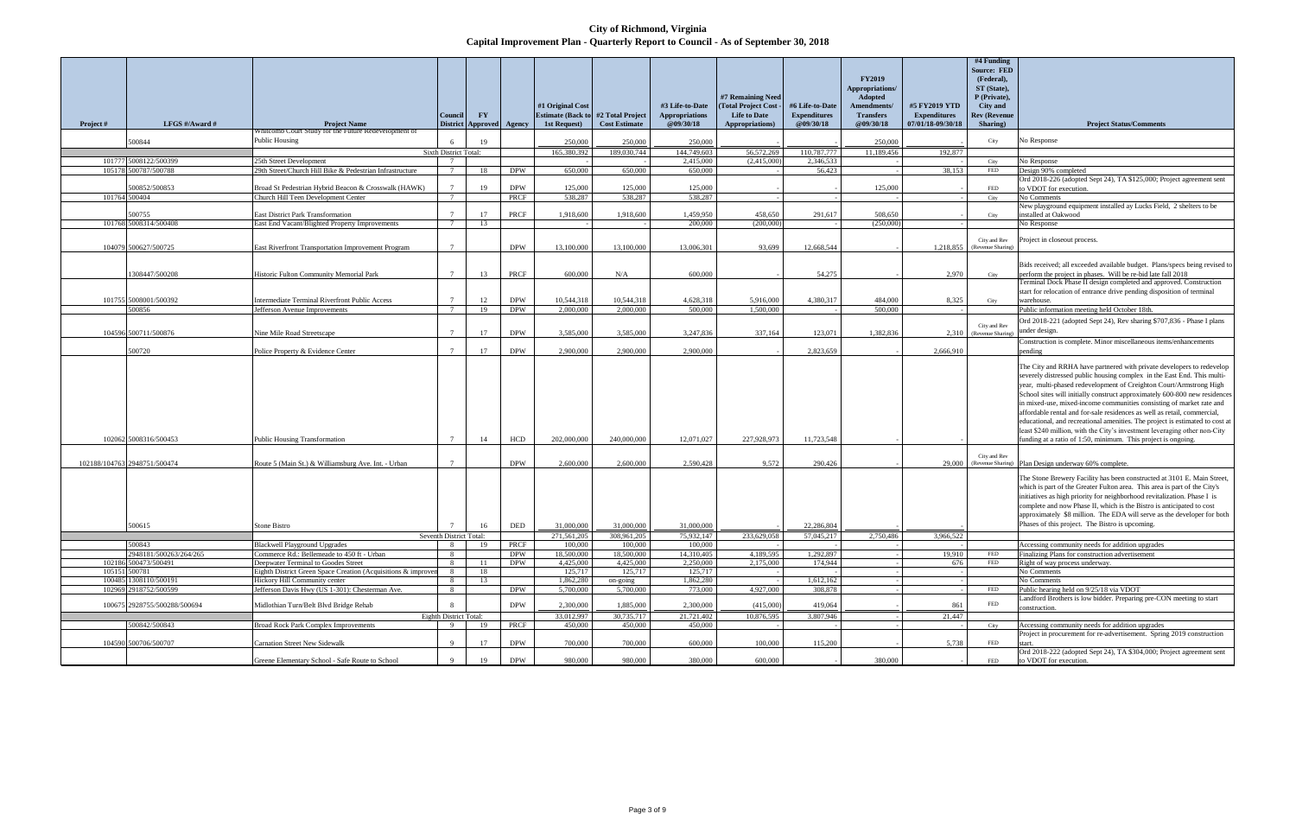**City of Richmond, Virginia Capital Improvement Plan - Quarterly Report to Council - As of September 30, 2018**

|          |                                                |                                                                                     | Council                  | $\mathbf{F}\mathbf{Y}$ |                          | #1 Original Cost<br><b>Estimate (Back to</b> | #2 Total Project        | #3 Life-to-Date<br><b>Appropriations</b> | #7 Remaining Need<br>(Total Project Cost)<br><b>Life to Date</b> | #6 Life-to-Date<br><b>Expenditures</b> | <b>FY2019</b><br>Appropriations/<br>Adopted<br>Amendments/<br><b>Transfers</b> | #5 FY2019 YTD<br><b>Expenditures</b> | #4 Funding<br><b>Source: FED</b><br>(Federal),<br>ST (State),<br>P (Private),<br><b>City and</b><br><b>Rev (Revenue</b> |                                                                                                                                                                                                                                                                                                                                                                                                                                                                                                                                                                                                                                                                                        |
|----------|------------------------------------------------|-------------------------------------------------------------------------------------|--------------------------|------------------------|--------------------------|----------------------------------------------|-------------------------|------------------------------------------|------------------------------------------------------------------|----------------------------------------|--------------------------------------------------------------------------------|--------------------------------------|-------------------------------------------------------------------------------------------------------------------------|----------------------------------------------------------------------------------------------------------------------------------------------------------------------------------------------------------------------------------------------------------------------------------------------------------------------------------------------------------------------------------------------------------------------------------------------------------------------------------------------------------------------------------------------------------------------------------------------------------------------------------------------------------------------------------------|
| Project# | LFGS #/Award #                                 | <b>Project Name</b><br>Whitcomb Court Study for the Future Redevelopment of         | <b>District</b>          | <b>Approved</b>        | Agency                   | 1st Request)                                 | <b>Cost Estimate</b>    | @09/30/18                                | Appropriations)                                                  | @09/30/18                              | @09/30/18                                                                      | 07/01/18-09/30/18                    | Sharing)                                                                                                                | <b>Project Status/Comments</b>                                                                                                                                                                                                                                                                                                                                                                                                                                                                                                                                                                                                                                                         |
|          | 500844                                         | <b>Public Housing</b>                                                               |                          | 19                     |                          | 250,000                                      | 250,000                 | 250,000                                  |                                                                  |                                        | 250,000                                                                        |                                      | City                                                                                                                    | No Response                                                                                                                                                                                                                                                                                                                                                                                                                                                                                                                                                                                                                                                                            |
|          |                                                |                                                                                     | Sixth District Total:    |                        |                          | 165,380,392                                  | 189,030,744             | 144,749,603                              | 56,572,269                                                       | 110,787,777                            | 11,189,456                                                                     | 192,877                              |                                                                                                                         |                                                                                                                                                                                                                                                                                                                                                                                                                                                                                                                                                                                                                                                                                        |
|          | 101777 5008122/500399<br>105178 500787/500788  | 25th Street Development<br>29th Street/Church Hill Bike & Pedestrian Infrastructure |                          | 18                     | <b>DPW</b>               | 650,000                                      | 650,000                 | 2,415,000<br>650,000                     | (2,415,000)                                                      | 2,346,533<br>56,423                    |                                                                                | 38,153                               | City<br>${\rm FED}$                                                                                                     | No Response<br>Design 90% completed                                                                                                                                                                                                                                                                                                                                                                                                                                                                                                                                                                                                                                                    |
|          |                                                |                                                                                     |                          |                        |                          |                                              |                         |                                          |                                                                  |                                        |                                                                                |                                      |                                                                                                                         | Ord 2018-226 (adopted Sept 24), TA \$125,000; Project agreement sent                                                                                                                                                                                                                                                                                                                                                                                                                                                                                                                                                                                                                   |
|          | 500852/500853                                  | Broad St Pedestrian Hybrid Beacon & Crosswalk (HAWK)                                |                          | 19                     | <b>DPW</b>               | 125,000                                      | 125,000                 | 125,000                                  |                                                                  |                                        | 125,000                                                                        |                                      | <b>FED</b>                                                                                                              | to VDOT for execution.                                                                                                                                                                                                                                                                                                                                                                                                                                                                                                                                                                                                                                                                 |
|          | 101764 500404                                  | Church Hill Teen Development Center                                                 | 7                        |                        | PRCF                     | 538,287                                      | 538,287                 | 538.287                                  |                                                                  |                                        |                                                                                |                                      | City                                                                                                                    | No Comments                                                                                                                                                                                                                                                                                                                                                                                                                                                                                                                                                                                                                                                                            |
|          | 500755                                         | <b>East District Park Transformation</b>                                            |                          | 17                     | PRCF                     | 1,918,600                                    | 1,918,600               | 1,459,950                                | 458,650                                                          | 291,617                                | 508,650                                                                        |                                      | City                                                                                                                    | New playground equipment installed ay Lucks Field, 2 shelters to be<br>nstalled at Oakwood                                                                                                                                                                                                                                                                                                                                                                                                                                                                                                                                                                                             |
|          | 101768 5008314/500408                          | East End Vacant/Blighted Property Improvements                                      | $7\phantom{.0}$          | 13                     |                          |                                              |                         | 200,000                                  | (200,000)                                                        |                                        | (250,000)                                                                      |                                      |                                                                                                                         | No Response                                                                                                                                                                                                                                                                                                                                                                                                                                                                                                                                                                                                                                                                            |
|          | 104079 500627/500725                           | East Riverfront Transportation Improvement Program                                  |                          |                        | <b>DPW</b>               | 13,100,000                                   | 13,100,000              | 13,006,301                               | 93.699                                                           | 12,668,544                             |                                                                                | 1,218,855                            | City and Rev<br>(Revenue Sharing)                                                                                       | Project in closeout process.                                                                                                                                                                                                                                                                                                                                                                                                                                                                                                                                                                                                                                                           |
|          | 1308447/500208                                 | Historic Fulton Community Memorial Park                                             | $\overline{7}$           | 13                     | <b>PRCF</b>              | 600,000                                      | N/A                     | 600,000                                  |                                                                  | 54,275                                 |                                                                                | 2,970                                | City                                                                                                                    | Bids received; all exceeded available budget. Plans/specs being revised to<br>perform the project in phases. Will be re-bid late fall 2018                                                                                                                                                                                                                                                                                                                                                                                                                                                                                                                                             |
|          | 101755 5008001/500392                          | <b>Intermediate Terminal Riverfront Public Access</b>                               |                          | 12                     | <b>DPW</b>               | 10,544,318                                   | 10,544,318              | 4,628,318                                | 5,916,000                                                        | 4,380,317                              | 484,000                                                                        | 8,325                                | City                                                                                                                    | Terminal Dock Phase II design completed and approved. Construction<br>start for relocation of entrance drive pending disposition of terminal<br>warehouse.                                                                                                                                                                                                                                                                                                                                                                                                                                                                                                                             |
|          | 500856                                         | Jefferson Avenue Improvements                                                       | - 7                      | 19                     | <b>DPW</b>               | 2,000,000                                    | 2,000,000               | 500,000                                  | 1,500,000                                                        |                                        | 500,000                                                                        |                                      |                                                                                                                         | Public information meeting held October 18th.                                                                                                                                                                                                                                                                                                                                                                                                                                                                                                                                                                                                                                          |
|          | 104596 500711/500876                           | Nine Mile Road Streetscape                                                          |                          | 17                     | <b>DPW</b>               | 3,585,000                                    | 3,585,000               | 3,247,836                                | 337,164                                                          | 123,071                                | 1,382,836                                                                      |                                      | City and Rev<br>2.310 (Revenue Sharing)                                                                                 | Ord 2018-221 (adopted Sept 24), Rev sharing \$707,836 - Phase I plans<br>under design.                                                                                                                                                                                                                                                                                                                                                                                                                                                                                                                                                                                                 |
|          | 500720                                         | Police Property & Evidence Center                                                   | $\overline{7}$           | 17                     | <b>DPW</b>               | 2,900,000                                    | 2,900,000               | 2,900,000                                |                                                                  | 2,823,659                              |                                                                                | 2,666,910                            |                                                                                                                         | Construction is complete. Minor miscellaneous items/enhancements<br>pending                                                                                                                                                                                                                                                                                                                                                                                                                                                                                                                                                                                                            |
|          | 102062 5008316/500453                          | <b>Public Housing Transformation</b>                                                | $\overline{7}$           | 14                     | <b>HCD</b>               | 202,000,000                                  | 240,000,000             | 12,071,027                               | 227,928,973                                                      | 11,723,548                             |                                                                                |                                      |                                                                                                                         | The City and RRHA have partnered with private developers to redevelop<br>severely distressed public housing complex in the East End. This multi-<br>year, multi-phased redevelopment of Creighton Court/Armstrong High<br>School sites will initially construct approximately 600-800 new residences<br>in mixed-use, mixed-income communities consisting of market rate and<br>affordable rental and for-sale residences as well as retail, commercial,<br>educational, and recreational amenities. The project is estimated to cost at<br>least \$240 million, with the City's investment leveraging other non-City<br>funding at a ratio of 1:50, minimum. This project is ongoing. |
|          | 102188/104763 2948751/500474                   | Route 5 (Main St.) & Williamsburg Ave. Int. - Urban                                 |                          |                        | <b>DPW</b>               | 2,600,000                                    | 2,600,000               | 2,590,428                                | 9,572                                                            | 290,426                                |                                                                                |                                      | City and Rev                                                                                                            | 29,000 (Revenue Sharing) Plan Design underway 60% complete.                                                                                                                                                                                                                                                                                                                                                                                                                                                                                                                                                                                                                            |
|          | 500615                                         | Stone Bistro                                                                        |                          | 16                     | DED                      | 31,000,000                                   | 31,000,000              | 31,000,000                               |                                                                  | 22,286,804                             |                                                                                |                                      |                                                                                                                         | The Stone Brewery Facility has been constructed at 3101 E. Main Street,<br>which is part of the Greater Fulton area. This area is part of the City's<br>initiatives as high priority for neighborhood revitalization. Phase I is<br>complete and now Phase II, which is the Bistro is anticipated to cost<br>approximately \$8 million. The EDA will serve as the developer for both<br>Phases of this project. The Bistro is upcoming.                                                                                                                                                                                                                                                |
|          |                                                |                                                                                     | Seventh District Total:  |                        |                          | 271,561,205                                  | 308,961,205             | 75,932,147                               | 233,629,058                                                      | 57,045,217                             | 2,750,486                                                                      | 3,966,522                            |                                                                                                                         |                                                                                                                                                                                                                                                                                                                                                                                                                                                                                                                                                                                                                                                                                        |
|          | 500843                                         | <b>Blackwell Playground Upgrades</b>                                                | 8 <sup>8</sup>           | 19                     | PRCF                     | 100,000                                      | 100,000                 | 100,000                                  |                                                                  |                                        |                                                                                |                                      |                                                                                                                         | Accessing community needs for addition upgrades                                                                                                                                                                                                                                                                                                                                                                                                                                                                                                                                                                                                                                        |
|          | 2948181/500263/264/265<br>102186 500473/500491 | Commerce Rd.: Bellemeade to 450 ft - Urban<br>Deepwater Terminal to Goodes Street   | 8<br>-8                  | 11                     | <b>DPW</b><br><b>DPW</b> | 18,500,000<br>4,425,000                      | 18,500,000<br>4,425,000 | 14,310,405<br>2,250,000                  | 4,189,595<br>2,175,000                                           | 1,292,897<br>174,944                   |                                                                                | 19,910<br>676                        | FED<br>FED                                                                                                              | Finalizing Plans for construction advertisement<br>Right of way process underway.                                                                                                                                                                                                                                                                                                                                                                                                                                                                                                                                                                                                      |
|          | 105151 500781                                  | Eighth District Green Space Creation (Acquisitions & improver                       | 8                        | 18                     |                          | 125,717                                      | 125,717                 | 125,717                                  |                                                                  |                                        |                                                                                |                                      |                                                                                                                         | No Comments                                                                                                                                                                                                                                                                                                                                                                                                                                                                                                                                                                                                                                                                            |
|          | 100485 1308110/500191                          | Hickory Hill Community center                                                       | 8                        | 13                     |                          | 1,862,280                                    | on-going                | 1,862,280                                |                                                                  | 1,612,162                              |                                                                                |                                      |                                                                                                                         | No Comments                                                                                                                                                                                                                                                                                                                                                                                                                                                                                                                                                                                                                                                                            |
|          | 102969 2918752/500599                          | Jefferson Davis Hwy (US 1-301): Chesterman Ave.                                     | 8                        |                        | <b>DPW</b>               | 5,700,000                                    | 5,700,000               | 773,000                                  | 4,927,000                                                        | 308,878                                |                                                                                |                                      | <b>FED</b>                                                                                                              | Public hearing held on 9/25/18 via VDOT<br>Landford Brothers is low bidder. Preparing pre-CON meeting to start                                                                                                                                                                                                                                                                                                                                                                                                                                                                                                                                                                         |
|          | 100675 2928755/500288/500694                   | Midlothian Turn/Belt Blvd Bridge Rehab                                              |                          |                        | <b>DPW</b>               | 2,300,000                                    | 1,885,000               | 2,300,000                                | (415,000)                                                        | 419,064                                |                                                                                | 861                                  | <b>FED</b>                                                                                                              | construction.                                                                                                                                                                                                                                                                                                                                                                                                                                                                                                                                                                                                                                                                          |
|          |                                                |                                                                                     | Eighth District Total:   |                        |                          | 33,012,997                                   | 30,735,717              | 21,721,402                               | 10,876,595                                                       | 3,807,946                              |                                                                                | 21,447                               |                                                                                                                         |                                                                                                                                                                                                                                                                                                                                                                                                                                                                                                                                                                                                                                                                                        |
|          | 500842/500843<br>104590 500706/500707          | <b>Broad Rock Park Complex Improvements</b><br><b>Carnation Street New Sidewalk</b> | $\Omega$<br>$\mathbf{Q}$ | 19<br>17               | PRCF<br><b>DPW</b>       | 450,000<br>700,000                           | 450,000<br>700,000      | 450,000<br>600,000                       | 100,000                                                          | 115,200                                |                                                                                | 5,738                                | City<br><b>FED</b>                                                                                                      | Accessing community needs for addition upgrades<br>Project in procurement for re-advertisement. Spring 2019 construction<br>start.                                                                                                                                                                                                                                                                                                                                                                                                                                                                                                                                                     |
|          |                                                | Greene Elementary School - Safe Route to School                                     |                          | 19                     | <b>DPW</b>               | 980,000                                      | 980,000                 | 380,000                                  | 600,000                                                          |                                        | 380,000                                                                        |                                      | <b>FED</b>                                                                                                              | Ord 2018-222 (adopted Sept 24), TA \$304,000; Project agreement sent<br>to VDOT for execution.                                                                                                                                                                                                                                                                                                                                                                                                                                                                                                                                                                                         |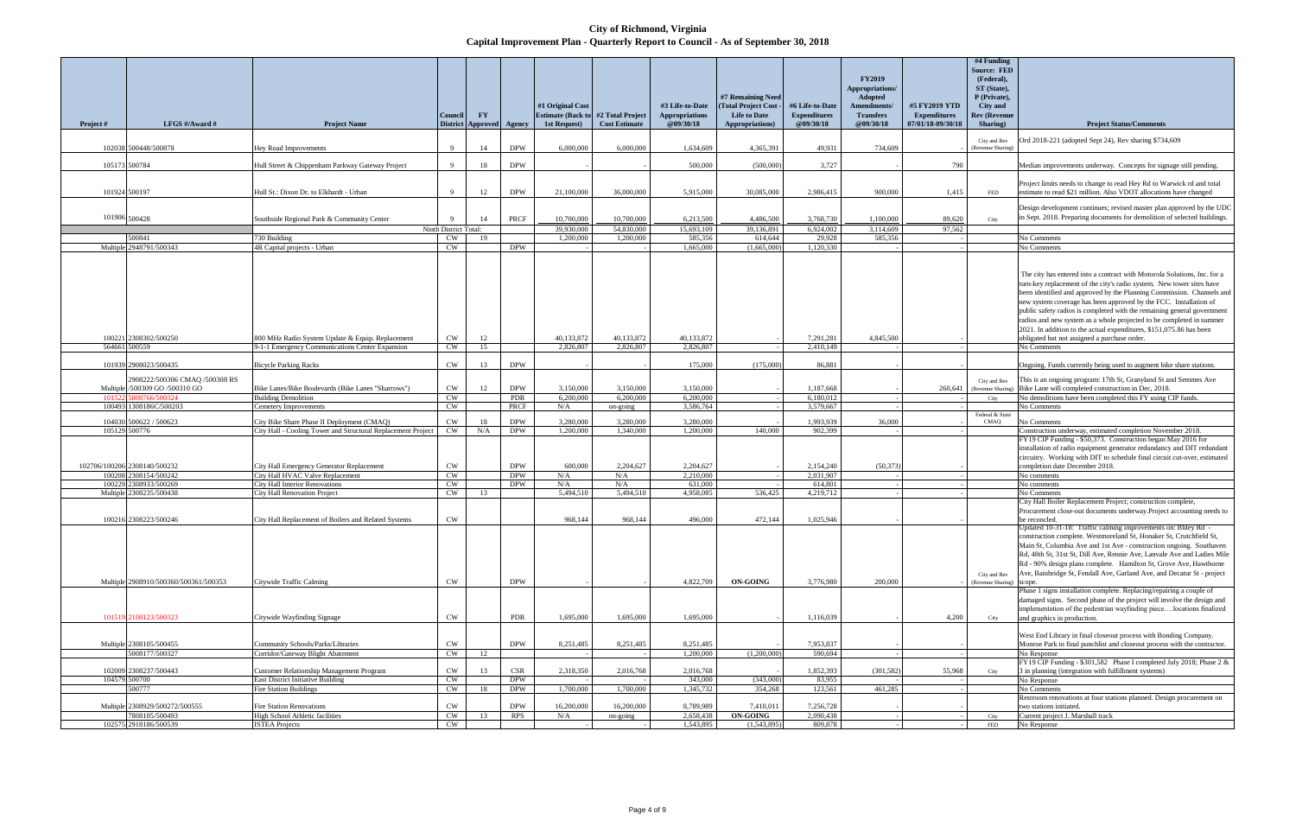**City of Richmond, Virginia Capital Improvement Plan - Quarterly Report to Council - As of September 30, 2018**

| Project#      | LFGS $\#/$ Award $\#$                            | <b>Project Name</b>                                                                                       | <b>Council</b>                 | <b>FY</b><br><b>District Approved</b> | Agency                   | #1 Original Cost<br><b>Estimate (Back to</b><br>1st Request) | #2 Total Project<br><b>Cost Estimate</b> | #3 Life-to-Date<br><b>Appropriations</b><br>@09/30/18 | #7 Remaining Need<br><b>Total Project Cost</b><br><b>Life to Date</b><br>Appropriations) | #6 Life-to-Date<br><b>Expenditures</b><br>@09/30/18 | <b>FY2019</b><br>Appropriations/<br><b>Adopted</b><br>Amendments/<br><b>Transfers</b><br>@09/30/18 | #5 FY2019 YTD<br><b>Expenditures</b><br>07/01/18-09/30/18 | #4 Funding<br><b>Source: FED</b><br>(Federal),<br>ST (State),<br>P (Private),<br><b>City and</b><br><b>Rev (Revenue</b><br>Sharing) | <b>Project Status/Comments</b>                                                                                                                                                                                                                                                                                                                                                                                                                                                                                                                                                |
|---------------|--------------------------------------------------|-----------------------------------------------------------------------------------------------------------|--------------------------------|---------------------------------------|--------------------------|--------------------------------------------------------------|------------------------------------------|-------------------------------------------------------|------------------------------------------------------------------------------------------|-----------------------------------------------------|----------------------------------------------------------------------------------------------------|-----------------------------------------------------------|-------------------------------------------------------------------------------------------------------------------------------------|-------------------------------------------------------------------------------------------------------------------------------------------------------------------------------------------------------------------------------------------------------------------------------------------------------------------------------------------------------------------------------------------------------------------------------------------------------------------------------------------------------------------------------------------------------------------------------|
|               | 102038 500448/500878                             |                                                                                                           | 9                              | 14                                    | <b>DPW</b>               | 6,000,000                                                    | 6,000,000                                | 1.634.609                                             | 4,365,391                                                                                | 49,931                                              | 734,609                                                                                            |                                                           | City and Rev                                                                                                                        | Ord 2018-221 (adopted Sept 24), Rev sharing \$734,609                                                                                                                                                                                                                                                                                                                                                                                                                                                                                                                         |
| 105173 500784 |                                                  | Hey Road Improvements<br>Hull Street & Chippenham Parkway Gateway Project                                 | 9                              | 18                                    | <b>DPW</b>               |                                                              |                                          | 500,000                                               | (500,000)                                                                                | 3,727                                               |                                                                                                    | 790                                                       | (Revenue Sharing)                                                                                                                   | Median improvements underway. Concepts for signage still pending                                                                                                                                                                                                                                                                                                                                                                                                                                                                                                              |
| 101924 500197 |                                                  | Hull St.: Dixon Dr. to Elkhardt - Urban                                                                   | 9                              | 12                                    | <b>DPW</b>               | 21,100,000                                                   | 36,000,000                               | 5,915,000                                             | 30,085,000                                                                               | 2,986,415                                           | 900,000                                                                                            | 1,415                                                     | FED                                                                                                                                 | Project limits needs to change to read Hey Rd to Warwick rd and tota<br>estimate to read \$21 million. Also VDOT allocations have changed                                                                                                                                                                                                                                                                                                                                                                                                                                     |
| 101906 500428 |                                                  | Southside Regional Park & Community Center                                                                | 9<br>Ninth District Total:     | 14                                    | PRCF                     | 10,700,000<br>39,930,000                                     | 10,700,000<br>54,830,000                 | 6,213,500<br>15,693,109                               | 4.486.500<br>39,136,891                                                                  | 3,768,730<br>6,924,002                              | 1,100,000<br>3,114,609                                                                             | 89,620<br>97,562                                          | City                                                                                                                                | Design development continues; revised master plan approved by the<br>in Sept. 2018. Preparing documents for demolition of selected buildin                                                                                                                                                                                                                                                                                                                                                                                                                                    |
|               | 500841                                           | 730 Building                                                                                              | CW                             | 19                                    |                          | 1.200,000                                                    | 1,200,000                                | 585,356                                               | 614,644                                                                                  | 29.928                                              | 585,356                                                                                            |                                                           |                                                                                                                                     | No Comments                                                                                                                                                                                                                                                                                                                                                                                                                                                                                                                                                                   |
|               | Multiple 2948791/500343                          | 4R Capital projects - Urban                                                                               | <b>CW</b>                      |                                       | <b>DPW</b>               |                                                              |                                          | 1,665,000                                             | (1,665,000)                                                                              | 1,120,330                                           |                                                                                                    |                                                           |                                                                                                                                     | No Comments                                                                                                                                                                                                                                                                                                                                                                                                                                                                                                                                                                   |
| 564661        | 100221 2308302/500250<br>500559                  | 800 MHz Radio System Update & Equip. Replacement<br>9-1-1 Emergency Communications Center Expansion       | CW<br>CW                       | 12<br>15                              |                          | 40,133,872<br>2,826,807                                      | 40,133,872<br>2,826,807                  | 40,133,872<br>2,826,807                               |                                                                                          | 7,291,281<br>2,410,149                              | 4,845,500                                                                                          |                                                           |                                                                                                                                     | The city has entered into a contract with Motorola Solutions, Inc. for<br>turn-key replacement of the city's radio system. New tower sites have<br>been identified and approved by the Planning Commission. Channels<br>new system coverage has been approved by the FCC. Installation of<br>public safety radios is completed with the remaining general governm<br>radios and new system as a whole projected to be completed in summ<br>2021. In addition to the actual expenditures, \$151,075.86 has been<br>obligated but not assigned a purchase order.<br>No Comments |
|               |                                                  |                                                                                                           |                                |                                       |                          |                                                              |                                          |                                                       |                                                                                          |                                                     |                                                                                                    |                                                           |                                                                                                                                     |                                                                                                                                                                                                                                                                                                                                                                                                                                                                                                                                                                               |
|               | 101939 2908023/500435                            | <b>Bicycle Parking Racks</b>                                                                              | CW                             | 13                                    | <b>DPW</b>               |                                                              |                                          | 175,000                                               | (175,000)                                                                                | 86,881                                              |                                                                                                    |                                                           |                                                                                                                                     | Ongoing. Funds currently being used to augment bike share stations.                                                                                                                                                                                                                                                                                                                                                                                                                                                                                                           |
|               | 2908222/500306 CMAO /500308 RS                   |                                                                                                           |                                |                                       |                          |                                                              |                                          |                                                       |                                                                                          |                                                     |                                                                                                    |                                                           |                                                                                                                                     |                                                                                                                                                                                                                                                                                                                                                                                                                                                                                                                                                                               |
|               | Multiple /500309 GO /500310 GO                   | Bike Lanes/Bike Boulevards (Bike Lanes "Sharrows")                                                        | CW                             | 12                                    | <b>DPW</b>               | 3,150,000                                                    | 3,150,000                                | 3,150,000                                             |                                                                                          | 1,187,668                                           |                                                                                                    | 260,641                                                   | City and Rev                                                                                                                        | This is an ongoing program: 17th St, Granyland St and Semmes Ave<br>(Revenue Sharing) Bike Lane will completed construction in Dec, 2018.                                                                                                                                                                                                                                                                                                                                                                                                                                     |
| 10152         | 5008766/500324                                   | <b>Building Demolition</b>                                                                                | CW                             |                                       | PDR                      | 6,200,000                                                    | 6,200,000                                | 6,200,000                                             |                                                                                          | 6,180,012                                           |                                                                                                    |                                                           | City                                                                                                                                | No demolitions have been completed this FY using CIP funds.                                                                                                                                                                                                                                                                                                                                                                                                                                                                                                                   |
|               | 100493 1308186C/500203                           | Cemetery Improvements                                                                                     | CW                             |                                       | PRCF                     | N/A                                                          | on-going                                 | 3,586,764                                             |                                                                                          | 3,579,667                                           |                                                                                                    |                                                           |                                                                                                                                     | No Comments                                                                                                                                                                                                                                                                                                                                                                                                                                                                                                                                                                   |
|               |                                                  |                                                                                                           |                                |                                       |                          |                                                              |                                          |                                                       |                                                                                          |                                                     |                                                                                                    |                                                           | Federal & State                                                                                                                     |                                                                                                                                                                                                                                                                                                                                                                                                                                                                                                                                                                               |
|               | 104030 500622 / 500623                           | City Bike Share Phase II Deployment (CMAQ)                                                                | $\mathrm{CW}$                  | 18                                    | <b>DPW</b>               | 3,280,000                                                    | 3,280,000                                | 3,280,000                                             |                                                                                          | 1,993,939                                           | 36,000                                                                                             |                                                           | CMAQ                                                                                                                                | No Comments                                                                                                                                                                                                                                                                                                                                                                                                                                                                                                                                                                   |
|               | 105129 500776<br>102706/100206 2308140/500232    | City Hall - Cooling Tower and Structural Replacement Project<br>City Hall Emergency Generator Replacement | CW<br>$\mathrm{CW}$            | N/A                                   | <b>DPW</b><br><b>DPW</b> | 1.200.000<br>600,000                                         | 1.340,000<br>2,204,627                   | 1,200,000<br>2,204,627                                | 140,000                                                                                  | 902,399<br>2,154,240                                | (50, 373)                                                                                          |                                                           |                                                                                                                                     | Construction underway, estimated completion November 2018.<br>FY19 CIP Funding - \$50,373. Construction began May 2016 for<br>installation of radio equipment generator redundancy and DIT redund<br>circuitry. Working with DIT to schedule final circuit cut-over, estima<br>completion date December 2018.                                                                                                                                                                                                                                                                 |
|               | 100208 2308154/500242                            | City Hall HVAC Valve Replacement                                                                          | CW                             |                                       | <b>DPW</b>               | N/A                                                          | N/A                                      | 2,210,000                                             |                                                                                          | 2,031,907                                           |                                                                                                    |                                                           |                                                                                                                                     | No comments                                                                                                                                                                                                                                                                                                                                                                                                                                                                                                                                                                   |
|               | 100229 2308933/500269                            | <b>City Hall Interior Renovations</b>                                                                     | CW                             |                                       | <b>DPW</b>               | N/A                                                          | N/A                                      | 631,000                                               |                                                                                          | 614,801                                             |                                                                                                    |                                                           |                                                                                                                                     | No comments                                                                                                                                                                                                                                                                                                                                                                                                                                                                                                                                                                   |
|               | Multiple 2308235/500438                          | <b>City Hall Renovation Project</b>                                                                       | CW                             | 13                                    |                          | 5,494,510                                                    | 5,494,510                                | 4,958,085                                             | 536,425                                                                                  | 4,219,712                                           |                                                                                                    |                                                           |                                                                                                                                     | No Comments                                                                                                                                                                                                                                                                                                                                                                                                                                                                                                                                                                   |
|               | 100216 2308223/500246                            | City Hall Replacement of Boilers and Related Systems                                                      | <b>CW</b>                      |                                       |                          | 968,144                                                      | 968,144                                  | 496,000                                               | 472,144                                                                                  | 1,025,946                                           |                                                                                                    |                                                           |                                                                                                                                     | City Hall Boiler Replacement Project; construction complete,<br>Procurement close-out documents underway. Project accounting need<br>be reconcled.                                                                                                                                                                                                                                                                                                                                                                                                                            |
|               | Multiple 2908910/500360/500361/500353            | Citywide Traffic Calming                                                                                  | CW                             |                                       | <b>DPW</b>               |                                                              |                                          | 4,822,709                                             | ON-GOING                                                                                 | 3,776,980                                           | 200,000                                                                                            |                                                           | City and Rev<br>(Revenue Sharing)                                                                                                   | Updated 10-31-18: Traffic calming improvements on: Bliley Rd<br>construction complete. Westmoreland St, Honaker St, Crutchfield St,<br>Main St, Columbia Ave and 1st Ave - construction ongoing. Southav<br>Rd, 48th St, 31st St, Dill Ave, Rennie Ave, Lanvale Ave and Ladies I<br>Rd - 90% design plans complete. Hamilton St, Grove Ave, Hawthor<br>Ave, Bainbridge St, Fendall Ave, Garland Ave, and Decatur St - proj                                                                                                                                                    |
|               | 101519 2108123/500323                            | Citywide Wayfinding Signage                                                                               | CW                             |                                       | PDR                      | 1,695,000                                                    | 1,695,000                                | 1,695,000                                             |                                                                                          | 1,116,039                                           |                                                                                                    | 4,200                                                     | City                                                                                                                                | Phase 1 signs installation complete. Replacing/repairing a couple of<br>damaged signs. Second phase of the project will involve the design a<br>implementation of the pedestrian wayfinding piecelocations finaliz<br>and graphics in production.                                                                                                                                                                                                                                                                                                                             |
|               | Multiple 2308105/500455<br>5008177/500327        | Community Schools/Parks/Libraries<br>Corridor/Gateway Blight Abatement                                    | $\mathrm{CW}$<br>$\mathrm{CW}$ | 12                                    | <b>DPW</b>               | 8,251,485                                                    | 8,251,485                                | 8,251,485<br>1,200,000                                | (1,200,000)                                                                              | 7,953,837<br>590,694                                |                                                                                                    |                                                           |                                                                                                                                     | West End Library in final closeout process with Bonding Company<br>Monroe Park in final punchlist and closeout process with the contract<br>No Response<br>FY19 CIP Funding - \$301,582 Phase I completed July 2018; Phase                                                                                                                                                                                                                                                                                                                                                    |
|               | 102009 2308237/500443                            | Customer Relationship Management Program                                                                  | CW                             | 13                                    | <b>CSR</b>               | 2,318,350                                                    | 2,016,768                                | 2,016,768                                             |                                                                                          | 1,852,393                                           | (301, 582)                                                                                         | 55,968                                                    | City                                                                                                                                | 3 in planning (integration with fulfillment systems)                                                                                                                                                                                                                                                                                                                                                                                                                                                                                                                          |
|               | 104579 500700                                    | <b>East District Initiative Building</b>                                                                  | <b>CW</b>                      |                                       | <b>DPW</b>               |                                                              |                                          | 343,000                                               | (343,000)                                                                                | 83,955                                              |                                                                                                    |                                                           |                                                                                                                                     | No Response                                                                                                                                                                                                                                                                                                                                                                                                                                                                                                                                                                   |
|               | 500777                                           | Fire Station Buildings                                                                                    | $\mathrm{CW}$                  | 18                                    | DPW                      | 1,700,000                                                    | 1,700,000                                | 1,345,732                                             | 354,268                                                                                  | 123,561                                             | 461,285                                                                                            |                                                           |                                                                                                                                     | No Comments                                                                                                                                                                                                                                                                                                                                                                                                                                                                                                                                                                   |
|               | Multiple 2308929/500272/500555<br>7808105/500493 | Fire Station Renovations<br>High School Athletic facilities                                               | CW<br>CW                       | 13                                    | <b>DPW</b><br>RPS        | 16,200,000<br>N/A                                            | 16,200,000<br>on-going                   | 8,789,989<br>2,658,438                                | 7,410,011<br><b>ON-GOING</b>                                                             | 7,256,728<br>2,090,438                              |                                                                                                    |                                                           | City                                                                                                                                | Restroom renovations at four stations planned. Design procurement of<br>two stations initiated.<br>Current project J. Marshall track                                                                                                                                                                                                                                                                                                                                                                                                                                          |
|               | 102575 2918186/500539                            | <b>ISTEA Projects</b>                                                                                     | CW                             |                                       |                          |                                                              |                                          | 1,543,895                                             | (1,543,895)                                                                              | 809,878                                             |                                                                                                    |                                                           | <b>FED</b>                                                                                                                          | No Response                                                                                                                                                                                                                                                                                                                                                                                                                                                                                                                                                                   |
|               |                                                  |                                                                                                           |                                |                                       |                          |                                                              |                                          |                                                       |                                                                                          |                                                     |                                                                                                    |                                                           |                                                                                                                                     |                                                                                                                                                                                                                                                                                                                                                                                                                                                                                                                                                                               |

|                          | #4 Funding                        |                                                                           |
|--------------------------|-----------------------------------|---------------------------------------------------------------------------|
|                          | <b>Source: FED</b>                |                                                                           |
|                          | (Federal),                        |                                                                           |
|                          |                                   |                                                                           |
|                          | ST (State),                       |                                                                           |
|                          | P (Private),                      |                                                                           |
| ľD                       | <b>City and</b>                   |                                                                           |
| S                        | <b>Rev (Revenue</b>               |                                                                           |
| /18                      | Sharing)                          | <b>Project Status/Comments</b>                                            |
|                          |                                   |                                                                           |
|                          | City and Rev<br>(Revenue Sharing) | Ord 2018-221 (adopted Sept 24), Rev sharing \$734,609                     |
|                          |                                   |                                                                           |
| 790                      |                                   |                                                                           |
|                          |                                   | Median improvements underway. Concepts for signage still pending.         |
|                          |                                   | Project limits needs to change to read Hey Rd to Warwick rd and total     |
| 415                      | <b>FED</b>                        | estimate to read \$21 million. Also VDOT allocations have changed         |
|                          |                                   |                                                                           |
|                          |                                   | Design development continues; revised master plan approved by the UDC     |
| 620                      |                                   | in Sept. 2018. Preparing documents for demolition of selected buildings.  |
|                          | City                              |                                                                           |
| 562                      |                                   |                                                                           |
|                          |                                   | No Comments                                                               |
| ÷,                       |                                   | No Comments                                                               |
|                          |                                   |                                                                           |
|                          |                                   |                                                                           |
|                          |                                   | The city has entered into a contract with Motorola Solutions, Inc. for a  |
|                          |                                   | turn-key replacement of the city's radio system. New tower sites have     |
|                          |                                   | been identified and approved by the Planning Commission. Channels and     |
|                          |                                   | new system coverage has been approved by the FCC. Installation of         |
|                          |                                   | public safety radios is completed with the remaining general government   |
|                          |                                   | radios and new system as a whole projected to be completed in summer      |
|                          |                                   | 2021. In addition to the actual expenditures, \$151,075.86 has been       |
|                          |                                   | obligated but not assigned a purchase order.                              |
|                          |                                   | No Comments                                                               |
|                          |                                   |                                                                           |
|                          |                                   | Ongoing. Funds currently being used to augment bike share stations.       |
|                          |                                   |                                                                           |
|                          | City and Rev                      | This is an ongoing program: 17th St, Granyland St and Semmes Ave          |
| 541                      | (Revenue Sharing)                 | Bike Lane will completed construction in Dec, 2018.                       |
|                          | City                              | No demolitions have been completed this FY using CIP funds.               |
| L.                       |                                   | No Comments                                                               |
|                          |                                   |                                                                           |
|                          | Federal & State                   |                                                                           |
|                          | CMAQ                              | No Comments                                                               |
| ä,                       |                                   | Construction underway, estimated completion November 2018.                |
|                          |                                   | FY19 CIP Funding - \$50,373. Construction began May 2016 for              |
|                          |                                   | installation of radio equipment generator redundancy and DIT redundant    |
|                          |                                   | circuitry. Working with DIT to schedule final circuit cut-over, estimated |
|                          |                                   | completion date December 2018.                                            |
|                          |                                   | No comments                                                               |
| ÷,                       |                                   | No comments                                                               |
| ٠                        |                                   | No Comments                                                               |
|                          |                                   | City Hall Boiler Replacement Project; construction complete,              |
|                          |                                   | Procurement close-out documents underway. Project accounting needs to     |
|                          |                                   | be reconcled.                                                             |
|                          |                                   | Updated 10-31-18: Traffic calming improvements on: Bliley Rd -            |
|                          |                                   | construction complete. Westmoreland St, Honaker St, Crutchfield St,       |
|                          |                                   | Main St, Columbia Ave and 1st Ave - construction ongoing. Southaven       |
|                          |                                   | Rd, 48th St, 31st St, Dill Ave, Rennie Ave, Lanvale Ave and Ladies Mile   |
|                          |                                   | Rd - 90% design plans complete. Hamilton St, Grove Ave, Hawthorne         |
|                          | City and Rev                      | Ave, Bainbridge St, Fendall Ave, Garland Ave, and Decatur St - project    |
|                          | (Revenue Sharing)                 | scope.                                                                    |
|                          |                                   | Phase 1 signs installation complete. Replacing/repairing a couple of      |
|                          |                                   | damaged signs. Second phase of the project will involve the design and    |
|                          |                                   | implementation of the pedestrian wayfinding piecelocations finalized      |
| 200                      | City                              | and graphics in production.                                               |
|                          |                                   |                                                                           |
|                          |                                   | West End Library in final closeout process with Bonding Company.          |
|                          |                                   | Monroe Park in final punchlist and closeout process with the contractor.  |
| Ĭ.                       |                                   | No Response                                                               |
|                          |                                   | FY19 CIP Funding - \$301,582 Phase I completed July 2018; Phase 2 &       |
| 968                      | City                              | 3 in planning (integration with fulfillment systems)                      |
|                          |                                   | No Response                                                               |
| ä,                       |                                   | No Comments                                                               |
|                          |                                   | Restroom renovations at four stations planned. Design procurement on      |
| $\overline{\phantom{m}}$ |                                   | two stations initiated.                                                   |
| $\overline{\phantom{m}}$ | City                              | Current project J. Marshall track                                         |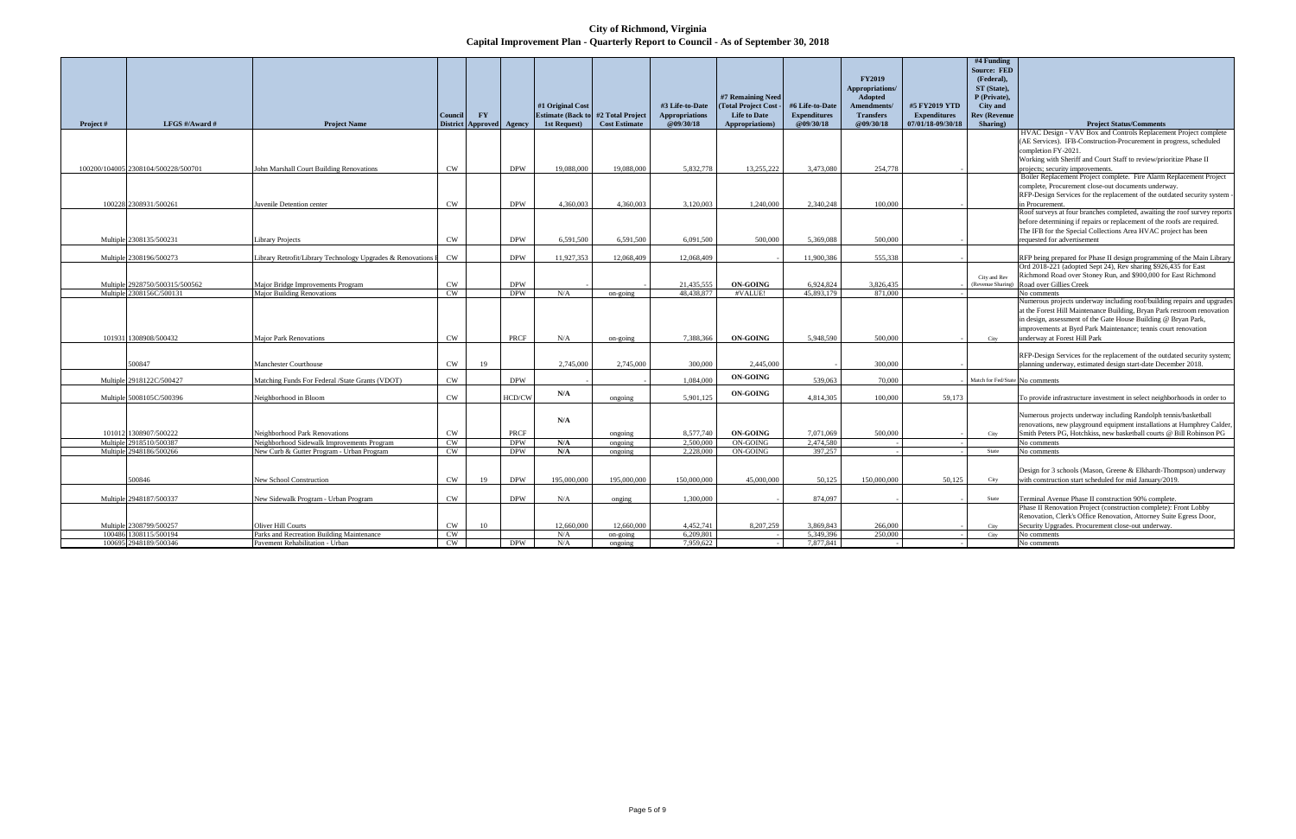**City of Richmond, Virginia Capital Improvement Plan - Quarterly Report to Council - As of September 30, 2018**

|           |                                     |                                                              |               |                          |             |                  |                                            |                       |                       |                     |                    |                     | #4 Funding                        |                                                                           |
|-----------|-------------------------------------|--------------------------------------------------------------|---------------|--------------------------|-------------|------------------|--------------------------------------------|-----------------------|-----------------------|---------------------|--------------------|---------------------|-----------------------------------|---------------------------------------------------------------------------|
|           |                                     |                                                              |               |                          |             |                  |                                            |                       |                       |                     |                    |                     | <b>Source: FED</b>                |                                                                           |
|           |                                     |                                                              |               |                          |             |                  |                                            |                       |                       |                     | <b>FY2019</b>      |                     | (Federal),                        |                                                                           |
|           |                                     |                                                              |               |                          |             |                  |                                            |                       |                       |                     | Appropriations/    |                     | ST (State).                       |                                                                           |
|           |                                     |                                                              |               |                          |             |                  |                                            |                       | #7 Remaining Need     |                     | <b>Adopted</b>     |                     | P (Private).                      |                                                                           |
|           |                                     |                                                              |               |                          |             | #1 Original Cost |                                            | #3 Life-to-Date       | (Total Project Cost - | #6 Life-to-Date     | <b>Amendments/</b> | #5 FY2019 YTD       | <b>City</b> and                   |                                                                           |
|           |                                     |                                                              | Council       | $\mathbf{F}\mathbf{Y}$   |             |                  | <b>Estimate (Back to #2 Total Project)</b> | <b>Appropriations</b> | <b>Life to Date</b>   | <b>Expenditures</b> | <b>Transfers</b>   | <b>Expenditures</b> | <b>Rev (Revenue</b>               |                                                                           |
| Project # | LFGS #/Award #                      | <b>Project Name</b>                                          |               | District Approved Agency |             | 1st Request)     | <b>Cost Estimate</b>                       | @09/30/18             | Appropriations)       | @09/30/18           | @09/30/18          | 07/01/18-09/30/18   | Sharing)                          | <b>Project Status/Comments</b>                                            |
|           |                                     |                                                              |               |                          |             |                  |                                            |                       |                       |                     |                    |                     |                                   | HVAC Design - VAV Box and Controls Replacement Project complete           |
|           |                                     |                                                              |               |                          |             |                  |                                            |                       |                       |                     |                    |                     |                                   | (AE Services). IFB-Construction-Procurement in progress, scheduled        |
|           |                                     |                                                              |               |                          |             |                  |                                            |                       |                       |                     |                    |                     |                                   | completion FY-2021.                                                       |
|           |                                     |                                                              |               |                          |             |                  |                                            |                       |                       |                     |                    |                     |                                   | Working with Sheriff and Court Staff to review/prioritize Phase II        |
|           | 100200/104005 2308104/500228/500701 | John Marshall Court Building Renovations                     | <b>CW</b>     |                          | <b>DPW</b>  | 19,088,000       | 19,088,000                                 | 5,832,778             | 13.255.222            | 3.473.080           | 254,778            |                     |                                   | projects; security improvements.                                          |
|           |                                     |                                                              |               |                          |             |                  |                                            |                       |                       |                     |                    |                     |                                   | Boiler Replacement Project complete. Fire Alarm Replacement Project       |
|           |                                     |                                                              |               |                          |             |                  |                                            |                       |                       |                     |                    |                     |                                   | complete, Procurement close-out documents underway.                       |
|           |                                     |                                                              |               |                          |             |                  |                                            |                       |                       |                     |                    |                     |                                   | RFP-Design Services for the replacement of the outdated security system - |
|           | 100228 2308931/500261               | Juvenile Detention center                                    | CW            |                          | <b>DPW</b>  | 4.360,003        | 4.360,003                                  | 3,120,003             | 1.240,000             | 2.340.248           | 100.000            |                     |                                   | in Procurement.                                                           |
|           |                                     |                                                              |               |                          |             |                  |                                            |                       |                       |                     |                    |                     |                                   | Roof surveys at four branches completed, awaiting the roof survey reports |
|           |                                     |                                                              |               |                          |             |                  |                                            |                       |                       |                     |                    |                     |                                   | before determining if repairs or replacement of the roofs are required.   |
|           |                                     |                                                              |               |                          |             |                  |                                            |                       |                       |                     |                    |                     |                                   | The IFB for the Special Collections Area HVAC project has been            |
|           | Multiple 2308135/500231             | <b>Library Projects</b>                                      | CW            |                          | <b>DPW</b>  | 6.591.500        | 6.591.500                                  | 6.091.500             | 500.000               | 5.369.088           | 500.000            |                     |                                   | equested for advertisement                                                |
|           |                                     |                                                              |               |                          |             |                  |                                            |                       |                       |                     |                    |                     |                                   |                                                                           |
|           | Multiple 2308196/500273             | Library Retrofit/Library Technology Upgrades & Renovations I | <b>CW</b>     |                          | <b>DPW</b>  | 11,927,353       | 12,068,409                                 | 12,068,409            |                       | 11,900,386          | 555,338            |                     |                                   | RFP being prepared for Phase II design programming of the Main Library    |
|           |                                     |                                                              |               |                          |             |                  |                                            |                       |                       |                     |                    |                     |                                   | Ord 2018-221 (adopted Sept 24), Rev sharing \$926,435 for East            |
|           |                                     |                                                              |               |                          |             |                  |                                            |                       |                       |                     |                    |                     |                                   | Richmond Road over Stoney Run, and \$900,000 for East Richmond            |
|           | Multiple 2928750/500315/500562      | Major Bridge Improvements Program                            | <b>CW</b>     |                          | <b>DPW</b>  |                  |                                            | 21.435.555            | <b>ON-GOING</b>       | 6.924.824           | 3,826,435          |                     | City and Rev<br>(Revenue Sharing) | Road over Gillies Creek                                                   |
|           | Multiple 2308156C/500131            | <b>Major Building Renovations</b>                            | <b>CW</b>     |                          | <b>DPW</b>  | N/A              | on-going                                   | 48,438,877            | #VALUE!               | 45,893,179          | 871,000            |                     |                                   | No comments                                                               |
|           |                                     |                                                              |               |                          |             |                  |                                            |                       |                       |                     |                    |                     |                                   | Numerous projects underway including roof/building repairs and upgrades   |
|           |                                     |                                                              |               |                          |             |                  |                                            |                       |                       |                     |                    |                     |                                   | at the Forest Hill Maintenance Building, Bryan Park restroom renovation   |
|           |                                     |                                                              |               |                          |             |                  |                                            |                       |                       |                     |                    |                     |                                   | in design, assessment of the Gate House Building @ Bryan Park,            |
|           |                                     |                                                              |               |                          |             |                  |                                            |                       |                       |                     |                    |                     |                                   | improvements at Byrd Park Maintenance; tennis court renovation            |
|           | 101931 1308908/500432               | <b>Major Park Renovations</b>                                | $\mathrm{CW}$ |                          | <b>PRCF</b> | N/A              | on-going                                   | 7.388.366             | <b>ON-GOING</b>       | 5.948.590           | 500.000            |                     | City                              | underway at Forest Hill Park                                              |
|           |                                     |                                                              |               |                          |             |                  |                                            |                       |                       |                     |                    |                     |                                   |                                                                           |
|           |                                     |                                                              |               |                          |             |                  |                                            |                       |                       |                     |                    |                     |                                   | RFP-Design Services for the replacement of the outdated security system;  |
|           | 500847                              | Manchester Courthouse                                        | <b>CW</b>     | 19                       |             | 2.745,000        | 2,745,000                                  | 300,000               | 2,445,000             |                     | 300,000            |                     |                                   | planning underway, estimated design start-date December 2018.             |
|           |                                     |                                                              |               |                          |             |                  |                                            |                       |                       |                     |                    |                     |                                   |                                                                           |
|           | Multiple 2918122C/500427            | Matching Funds For Federal /State Grants (VDOT)              | CW            |                          | <b>DPW</b>  |                  |                                            | 1.084.000             | <b>ON-GOING</b>       | 539,063             | 70,000             |                     | Match for Fed/State No comments   |                                                                           |
|           |                                     |                                                              |               |                          |             |                  |                                            |                       |                       |                     |                    |                     |                                   |                                                                           |
|           | Multiple 5008105C/500396            | Neighborhood in Bloom                                        | <b>CW</b>     |                          | HCD/CW      | N/A              | ongoing                                    | 5.901.125             | <b>ON-GOING</b>       | 4,814,305           | 100.000            | 59,173              |                                   | To provide infrastructure investment in select neighborhoods in order to  |
|           |                                     |                                                              |               |                          |             |                  |                                            |                       |                       |                     |                    |                     |                                   |                                                                           |
|           |                                     |                                                              |               |                          |             |                  |                                            |                       |                       |                     |                    |                     |                                   | Numerous projects underway including Randolph tennis/basketball           |
|           |                                     |                                                              |               |                          |             | N/A              |                                            |                       |                       |                     |                    |                     |                                   | renovations, new playground equipment installations at Humphrey Calder.   |
|           | 101012 1308907/500222               | Neighborhood Park Renovations                                | <b>CW</b>     |                          | <b>PRCF</b> |                  | ongoing                                    | 8,577,740             | <b>ON-GOING</b>       | 7,071,069           | 500.000            |                     | City                              | Smith Peters PG, Hotchkiss, new basketball courts @ Bill Robinson PG      |
|           | Multiple 2918510/500387             | Neighborhood Sidewalk Improvements Program                   | CW            |                          | <b>DPW</b>  | N/A              | ongoing                                    | 2,500,000             | ON-GOING              | 2,474,580           |                    |                     |                                   | No comments                                                               |
|           | Multiple 2948186/500266             | New Curb & Gutter Program - Urban Program                    | CW            |                          | <b>DPW</b>  | N/A              | ongoing                                    | 2,228,000             | ON-GOING              | 397,257             |                    |                     | State                             | No comments                                                               |
|           |                                     |                                                              |               |                          |             |                  |                                            |                       |                       |                     |                    |                     |                                   |                                                                           |
|           |                                     |                                                              |               |                          |             |                  |                                            |                       |                       |                     |                    |                     |                                   | Design for 3 schools (Mason, Greene & Elkhardt-Thompson) underway         |
|           | 00846                               | New School Construction                                      | $\mathrm{CW}$ | 19                       | <b>DPW</b>  | 195.000.000      | 195.000.000                                | 150.000.000           | 45.000.000            | 50,125              | 150.000.000        | 50,125              | City                              | with construction start scheduled for mid January/2019.                   |
|           |                                     |                                                              |               |                          |             |                  |                                            |                       |                       |                     |                    |                     |                                   |                                                                           |
|           | Multiple 2948187/500337             | New Sidewalk Program - Urban Program                         | <b>CW</b>     |                          | <b>DPW</b>  | N/A              | onging                                     | 1,300,000             |                       | 874,097             |                    |                     | State                             | Terminal Avenue Phase II construction 90% complete.                       |
|           |                                     |                                                              |               |                          |             |                  |                                            |                       |                       |                     |                    |                     |                                   | Phase II Renovation Project (construction complete): Front Lobby          |
|           |                                     |                                                              |               |                          |             |                  |                                            |                       |                       |                     |                    |                     |                                   | Renovation, Clerk's Office Renovation, Attorney Suite Egress Door,        |
|           | Multiple 2308799/500257             | <b>Oliver Hill Courts</b>                                    | <b>CW</b>     | 10                       |             | 12,660,000       | 12,660,000                                 | 4,452,741             | 8,207,259             | 3,869,843           | 266,000            |                     | City                              | Security Upgrades. Procurement close-out underway.                        |
| 100486    | 308115/500194                       | Parks and Recreation Building Maintenance                    | <b>CW</b>     |                          |             | N/A              | $on$ -going                                | 6.209.801             |                       | 5.349.396           | 250.000            |                     | City                              | No comments                                                               |
|           | 100695 2948189/500346               | Pavement Rehabilitation - Urban                              | <b>CW</b>     |                          | <b>DPW</b>  | N/A              | ongoing                                    | 7.959.622             |                       | 7,877,841           |                    |                     |                                   | No comments                                                               |
|           |                                     |                                                              |               |                          |             |                  |                                            |                       |                       |                     |                    |                     |                                   |                                                                           |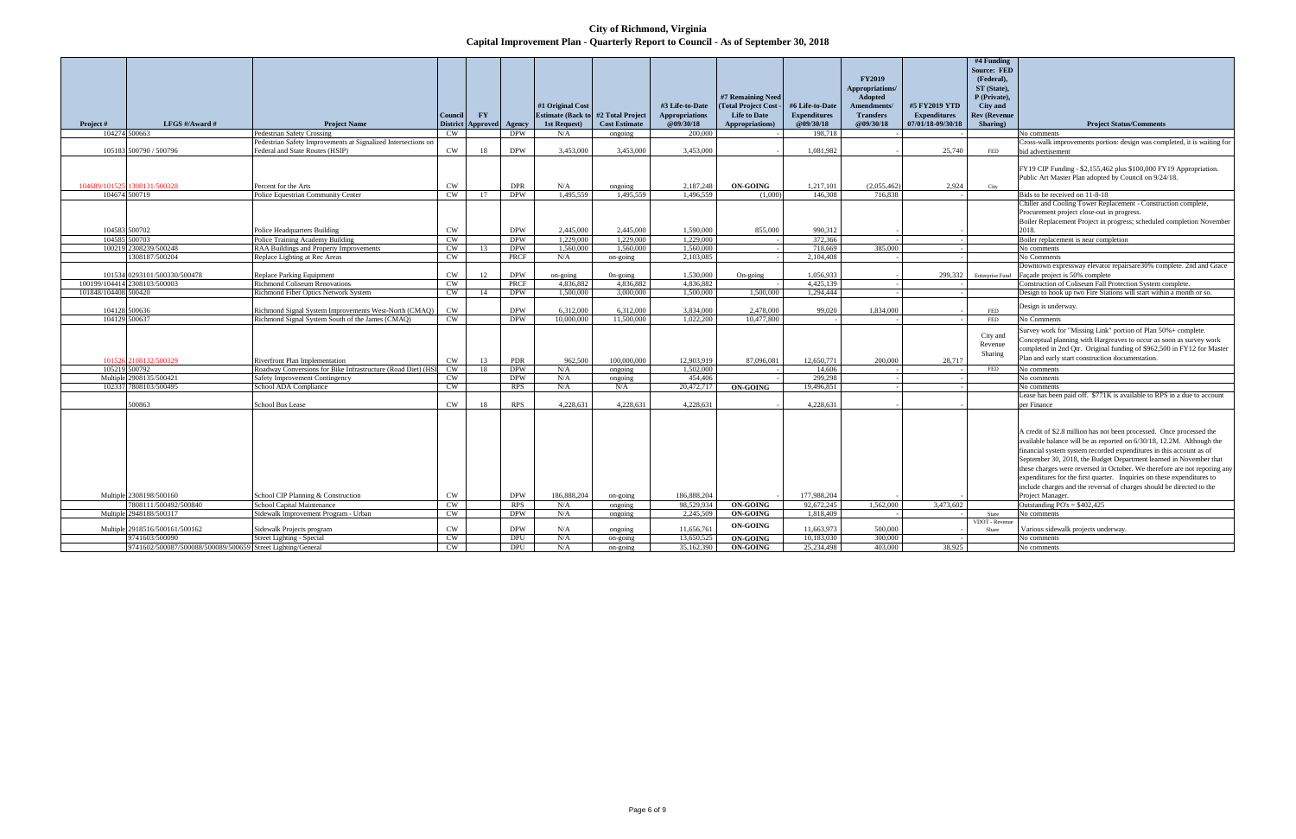**City of Richmond, Virginia Capital Improvement Plan - Quarterly Report to Council - As of September 30, 2018**

|                      |                                                             |                                                                                                |                 |                        |                             |                   |                      |                         |                           |                      |                    |                     | #4 Funding             |                                                                                               |
|----------------------|-------------------------------------------------------------|------------------------------------------------------------------------------------------------|-----------------|------------------------|-----------------------------|-------------------|----------------------|-------------------------|---------------------------|----------------------|--------------------|---------------------|------------------------|-----------------------------------------------------------------------------------------------|
|                      |                                                             |                                                                                                |                 |                        |                             |                   |                      |                         |                           |                      |                    |                     | <b>Source: FED</b>     |                                                                                               |
|                      |                                                             |                                                                                                |                 |                        |                             |                   |                      |                         |                           |                      | <b>FY2019</b>      |                     | (Federal),             |                                                                                               |
|                      |                                                             |                                                                                                |                 |                        |                             |                   |                      |                         |                           |                      | Appropriations/    |                     | ST (State),            |                                                                                               |
|                      |                                                             |                                                                                                |                 |                        |                             |                   |                      |                         | #7 Remaining Need         |                      | Adopted            |                     | P (Private),           |                                                                                               |
|                      |                                                             |                                                                                                |                 |                        |                             | #1 Original Cost  |                      | #3 Life-to-Date         | <b>Total Project Cost</b> | #6 Life-to-Date      | <b>Amendments/</b> | #5 FY2019 YTD       | <b>City and</b>        |                                                                                               |
|                      |                                                             |                                                                                                | <b>Council</b>  | $\mathbf{F}\mathbf{Y}$ |                             | Estimate (Back to | #2 Total Project     | <b>Appropriations</b>   | <b>Life to Date</b>       | <b>Expenditures</b>  | <b>Transfers</b>   | <b>Expenditures</b> | <b>Rev (Revenue</b>    |                                                                                               |
| Project #            | LFGS #/Award #<br>104274 500663                             | <b>Project Name</b><br><b>Pedestrian Safety Crossing</b>                                       | CW.             | District Approved      | <b>Agency</b><br><b>DPW</b> | 1st Request)      | <b>Cost Estimate</b> | @09/30/18<br>200.000    | Appropriations)           | @09/30/18<br>198,718 | @09/30/18          | 07/01/18-09/30/18   | Sharing)               | <b>Project Status/Comments</b>                                                                |
|                      |                                                             | Pedestrian Safety Improvements at Signalized Intersections on                                  |                 |                        |                             | N/A               | ongoing              |                         |                           |                      |                    |                     |                        | No comments                                                                                   |
|                      | 105183 500790 / 500796                                      | Federal and State Routes (HSIP)                                                                | $\mathrm{CW}$   | 18                     | <b>DPW</b>                  | 3,453,000         | 3,453,000            | 3,453,000               |                           | 1,081,982            |                    | 25,740              | <b>FED</b>             | Cross-walk improvements portion: design was completed, it is waiting for<br>bid advertisement |
|                      |                                                             |                                                                                                |                 |                        |                             |                   |                      |                         |                           |                      |                    |                     |                        |                                                                                               |
|                      |                                                             |                                                                                                |                 |                        |                             |                   |                      |                         |                           |                      |                    |                     |                        | FY19 CIP Funding - \$2,155,462 plus \$100,000 FY19 Appropriation.                             |
|                      |                                                             |                                                                                                |                 |                        |                             |                   |                      |                         |                           |                      |                    |                     |                        | Public Art Master Plan adopted by Council on 9/24/18.                                         |
|                      | 104689/101525 1308131/500328                                | Percent for the Arts                                                                           | <b>CW</b>       |                        | <b>DPR</b>                  | N/A               | ongoing              | 2,187,248               | <b>ON-GOING</b>           | 1,217,101            | (2,055,462)        | 2,924               | City                   |                                                                                               |
|                      | 104674 500719                                               | Police Equestrian Community Center                                                             | <b>CW</b>       | 17                     | <b>DPW</b>                  | 1,495,559         | 1,495,559            | 1,496,559               | (1.000)                   | 146,308              | 716,838            |                     |                        | Bids to be received on 11-8-18                                                                |
|                      |                                                             |                                                                                                |                 |                        |                             |                   |                      |                         |                           |                      |                    |                     |                        | Chiller and Cooling Tower Replacement - Construction complete,                                |
|                      |                                                             |                                                                                                |                 |                        |                             |                   |                      |                         |                           |                      |                    |                     |                        | Procurement project close-out in progress.                                                    |
|                      |                                                             |                                                                                                |                 |                        |                             |                   |                      |                         |                           |                      |                    |                     |                        | Boiler Replacement Project in progress; scheduled completion November                         |
|                      | 104583 500702                                               | Police Headquarters Building                                                                   | $\mathrm{CW}$   |                        | <b>DPW</b>                  | 2.445,000         | 2,445,000            | 1,590,000               | 855,000                   | 990,312              |                    |                     |                        | 2018.                                                                                         |
|                      | 104585 500703                                               | Police Training Academy Building                                                               | CW              |                        | <b>DPW</b>                  | 1.229,000         | 1.229,000            | 1.229,000               |                           | 372,366              |                    |                     |                        | Boiler replacement is near completion                                                         |
|                      | 100219 2308239/500248                                       | RAA Buildings and Property Improvements                                                        | <b>CW</b>       | 13                     | <b>DPW</b>                  | 1.560,000         | 1.560,000            | 1.560,000               |                           | 718,669              | 385,000            |                     |                        | No comments                                                                                   |
|                      | 1308187/500204                                              | Replace Lighting at Rec Areas                                                                  | CW              |                        | <b>PRCF</b>                 | N/A               | on-going             | 2,103,085               |                           | 2,104,408            |                    |                     |                        | No Comments                                                                                   |
|                      |                                                             |                                                                                                |                 |                        |                             |                   |                      |                         |                           |                      |                    |                     |                        | Downtown expressway elevator repairsare30% complete. 2nd and Grace                            |
|                      | 101534 0293101/500330/500478                                | Replace Parking Equipment                                                                      | $\mathrm{CW}$   | 12                     | <b>DPW</b>                  | on-going          | On-going             | 1,530,000               | On-going                  | 1,056,933            |                    | 299,332             | <b>Enterprise Fund</b> | Façade project is 50% complete                                                                |
|                      | 100199/104414 2308103/500003                                | <b>Richmond Coliseum Renovations</b>                                                           | <b>CW</b>       |                        | <b>PRCF</b>                 | 4.836.882         | 4.836.882            | 4,836,882               |                           | 4.425.139            |                    |                     |                        | Construction of Coliseum Fall Protection System complete.                                     |
| 101848/104408 500420 |                                                             | Richmond Fiber Optics Network System                                                           | <b>CW</b>       | 14                     | <b>DPW</b>                  | 1,500,000         | 3,000,000            | 1,500,000               | 1.500,000                 | 1.294.444            |                    |                     |                        | Design to hook up two Fire Stations will start within a month or so.                          |
|                      |                                                             |                                                                                                |                 |                        |                             |                   |                      |                         |                           |                      |                    |                     |                        |                                                                                               |
|                      | 104128 500636                                               | Richmond Signal System Improvements West-North (CMAQ)                                          | <b>CW</b>       |                        | <b>DPW</b>                  | 6,312,000         | 6,312,000            | 3,834,000               | 2,478,000                 | 99,020               | 1,834,000          |                     | <b>FED</b>             | Design is underway.                                                                           |
|                      | 104129 500637                                               | Richmond Signal System South of the James (CMAQ)                                               | CW              |                        | <b>DPW</b>                  | 10,000,000        | 11,500,000           | 1,022,200               | 10,477,800                |                      |                    |                     | FED                    | No Comments                                                                                   |
|                      |                                                             |                                                                                                |                 |                        |                             |                   |                      |                         |                           |                      |                    |                     |                        | Survey work for "Missing Link" portion of Plan 50%+ complete.                                 |
|                      |                                                             |                                                                                                |                 |                        |                             |                   |                      |                         |                           |                      |                    |                     | City and               | Conceptual planning with Hargreaves to occur as soon as survey work                           |
|                      |                                                             |                                                                                                |                 |                        |                             |                   |                      |                         |                           |                      |                    |                     | Revenue                | completed in 2nd Qtr. Original funding of \$962,500 in FY12 for Master                        |
|                      |                                                             |                                                                                                |                 |                        |                             | 962.500           | 100,000,000          |                         |                           | 12,650,771           | 200,000            |                     | Sharing                | Plan and early start construction documentation.                                              |
|                      | 101526 2108132/500329<br>105219 500792                      | Riverfront Plan Implementation<br>Roadway Conversions for Bike Infrastructure (Road Diet) (HSI | <b>CW</b><br>CW | 13<br>18               | PDR<br><b>DPW</b>           | N/A               |                      | 12,903,919<br>1.502,000 | 87,096,081                | 14,606               |                    | 28,717              | FED                    | No comments                                                                                   |
|                      | Multiple 2908135/500421                                     | Safety Improvement Contingency                                                                 | <b>CW</b>       |                        | <b>DPW</b>                  | N/A               | ongoing              | 454,406                 |                           | 299,298              |                    |                     |                        | No comments                                                                                   |
|                      | 102337 7808103/500495                                       | School ADA Compliance                                                                          | <b>CW</b>       |                        | <b>RPS</b>                  | N/A               | ongoing<br>N/A       | 20,472,717              | <b>ON-GOING</b>           | 19,496,851           |                    |                     |                        | No comments                                                                                   |
|                      |                                                             |                                                                                                |                 |                        |                             |                   |                      |                         |                           |                      |                    |                     |                        | Lease has been paid off. \$771K is available to RPS in a due to account                       |
|                      | 500863                                                      | School Bus Lease                                                                               | <b>CW</b>       | 18                     | <b>RPS</b>                  | 4,228,631         | 4,228,631            | 4,228,631               |                           | 4,228,631            |                    |                     |                        | per Finance                                                                                   |
|                      |                                                             |                                                                                                |                 |                        |                             |                   |                      |                         |                           |                      |                    |                     |                        |                                                                                               |
|                      |                                                             |                                                                                                |                 |                        |                             |                   |                      |                         |                           |                      |                    |                     |                        |                                                                                               |
|                      |                                                             |                                                                                                |                 |                        |                             |                   |                      |                         |                           |                      |                    |                     |                        | A credit of \$2.8 million has not been processed. Once processed the                          |
|                      |                                                             |                                                                                                |                 |                        |                             |                   |                      |                         |                           |                      |                    |                     |                        | available balance will be as reported on 6/30/18, 12.2M. Although the                         |
|                      |                                                             |                                                                                                |                 |                        |                             |                   |                      |                         |                           |                      |                    |                     |                        | financial system system recorded expenditures in this account as of                           |
|                      |                                                             |                                                                                                |                 |                        |                             |                   |                      |                         |                           |                      |                    |                     |                        | September 30, 2018, the Budget Department learned in November that                            |
|                      |                                                             |                                                                                                |                 |                        |                             |                   |                      |                         |                           |                      |                    |                     |                        | these charges were reversed in October. We therefore are not reporing any                     |
|                      |                                                             |                                                                                                |                 |                        |                             |                   |                      |                         |                           |                      |                    |                     |                        |                                                                                               |
|                      |                                                             |                                                                                                |                 |                        |                             |                   |                      |                         |                           |                      |                    |                     |                        | expenditures for the first quarter. Inquiries on these expenditures to                        |
|                      | Multiple 2308198/500160                                     |                                                                                                | $\mathrm{CW}$   |                        | <b>DPW</b>                  | 186,888,204       |                      | 186,888,204             |                           | 177,988,204          |                    |                     |                        | include charges and the reversal of charges should be directed to the                         |
|                      | 7808111/500492/500840                                       | School CIP Planning & Construction<br>School Capital Maintenance                               | <b>CW</b>       |                        | <b>RPS</b>                  | N/A               | on-going             | 98,529,934              | <b>ON-GOING</b>           | 92,672,245           | 1,562,000          | 3,473,602           |                        | Project Manager.<br>Outstanding $PO's = $402,425$                                             |
|                      | Multiple 2948188/500317                                     | Sidewalk Improvement Program - Urban                                                           | CW              |                        | <b>DPW</b>                  | N/A               | ongoing<br>ongoing   | 2,245,509               | <b>ON-GOING</b>           | 1,818,409            |                    |                     | State                  | No comments                                                                                   |
|                      |                                                             |                                                                                                |                 |                        |                             |                   |                      |                         |                           |                      |                    |                     | VDOT - Revenue         |                                                                                               |
|                      | Multiple 2918516/500161/500162                              | Sidewalk Projects program                                                                      | $\mathrm{CW}$   |                        | <b>DPW</b>                  | N/A               | ongoing              | 11,656,761              | <b>ON-GOING</b>           | 11,663,973           | 500,000            |                     | Share                  | Various sidewalk projects underway.                                                           |
|                      | 9741603/500090                                              | Street Lighting - Special                                                                      | CW              |                        | <b>DPU</b>                  | $\rm N/A$         | on-going             | 13.650.525              | <b>ON-GOING</b>           | 10.183.030           | 300,000            |                     |                        | No comments                                                                                   |
|                      | 9741602/500087/500088/500089/500659 Street Lighting/General |                                                                                                | $\mathbf{CW}$   |                        | DPU                         | N/A               | on-going             | 35,162,390              | <b>ON-GOING</b>           | 25.234.498           | 403,000            | 38.925              |                        | No comments                                                                                   |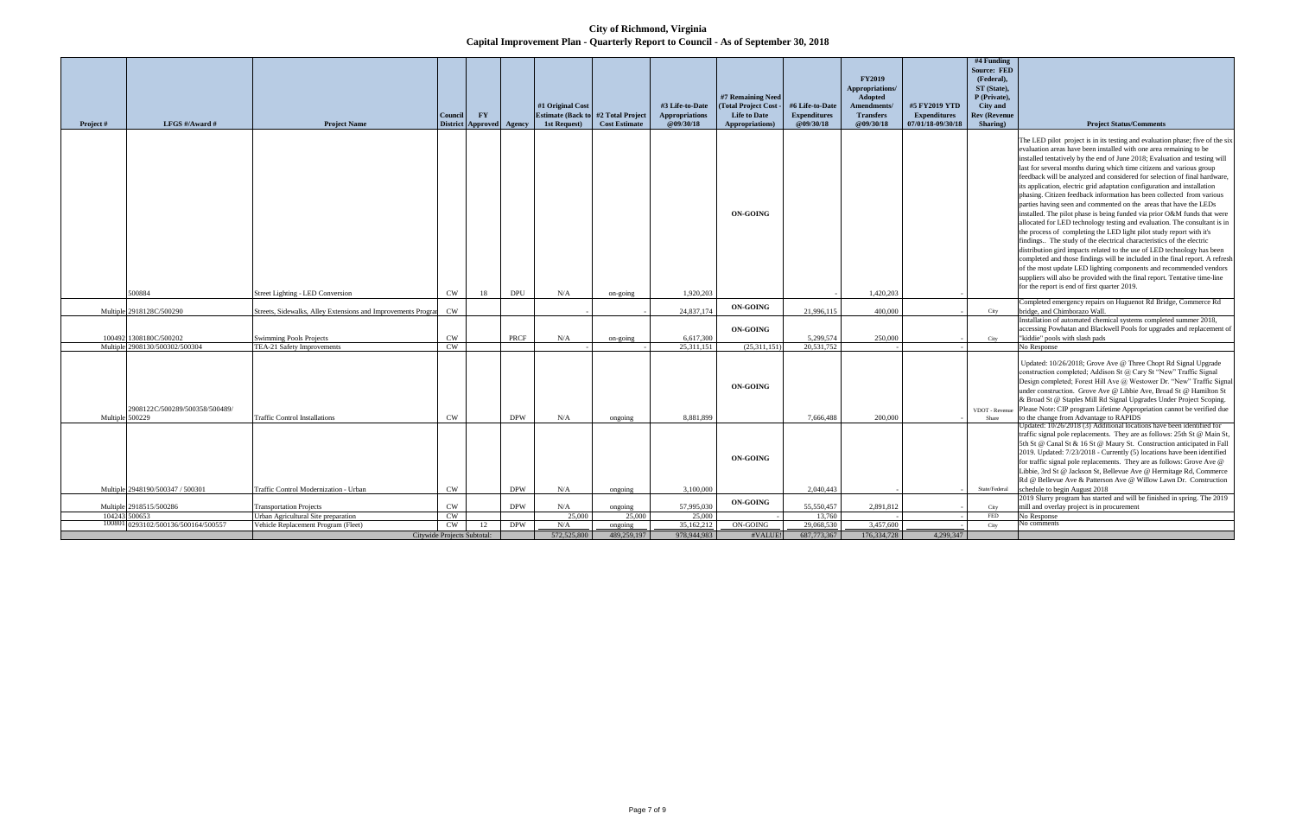**City of Richmond, Virginia Capital Improvement Plan - Quarterly Report to Council - As of September 30, 2018**

|                 |                                     |                                                               |                             |                                        |            |                                          |                                          |                                    |                                                |                                  | <b>FY2019</b><br>Appropriations/ |                                          | #4 Funding<br><b>Source: FED</b><br>(Federal),<br>ST (State), |                                                                                                                                                                                                                                                                                                                                                                                                                                                                                                                                                                                                                                                                                                                                                                                                                                                                                                                                                                                                                                                                                                                                                                                                                                          |
|-----------------|-------------------------------------|---------------------------------------------------------------|-----------------------------|----------------------------------------|------------|------------------------------------------|------------------------------------------|------------------------------------|------------------------------------------------|----------------------------------|----------------------------------|------------------------------------------|---------------------------------------------------------------|------------------------------------------------------------------------------------------------------------------------------------------------------------------------------------------------------------------------------------------------------------------------------------------------------------------------------------------------------------------------------------------------------------------------------------------------------------------------------------------------------------------------------------------------------------------------------------------------------------------------------------------------------------------------------------------------------------------------------------------------------------------------------------------------------------------------------------------------------------------------------------------------------------------------------------------------------------------------------------------------------------------------------------------------------------------------------------------------------------------------------------------------------------------------------------------------------------------------------------------|
|                 |                                     |                                                               |                             |                                        |            | #1 Original Cost                         |                                          | #3 Life-to-Date                    | #7 Remaining Need<br>(Total Project Cost)      | #6 Life-to-Date                  | Adopted<br>Amendments/           | #5 FY2019 YTD                            | P (Private),<br><b>City and</b>                               |                                                                                                                                                                                                                                                                                                                                                                                                                                                                                                                                                                                                                                                                                                                                                                                                                                                                                                                                                                                                                                                                                                                                                                                                                                          |
| Project#        | LFGS #/Award #                      | <b>Project Name</b>                                           | Council                     | $\Gamma Y$<br>District Approved Agency |            | <b>Estimate (Back to</b><br>1st Request) | #2 Total Project<br><b>Cost Estimate</b> | <b>Appropriations</b><br>@09/30/18 | <b>Life to Date</b><br><b>Appropriations</b> ) | <b>Expenditures</b><br>@09/30/18 | <b>Transfers</b><br>@09/30/18    | <b>Expenditures</b><br>07/01/18-09/30/18 | <b>Rev (Revenue</b><br>Sharing)                               | <b>Project Status/Comments</b>                                                                                                                                                                                                                                                                                                                                                                                                                                                                                                                                                                                                                                                                                                                                                                                                                                                                                                                                                                                                                                                                                                                                                                                                           |
|                 |                                     |                                                               |                             |                                        |            |                                          |                                          |                                    | <b>ON-GOING</b>                                |                                  |                                  |                                          |                                                               | The LED pilot project is in its testing and evaluation phase; five of the six<br>evaluation areas have been installed with one area remaining to be<br>installed tentatively by the end of June 2018; Evaluation and testing will<br>last for several months during which time citizens and various group<br>feedback will be analyzed and considered for selection of final hardware.<br>its application, electric grid adaptation configuration and installation<br>phasing. Citizen feedback information has been collected from various<br>parties having seen and commented on the areas that have the LEDs<br>installed. The pilot phase is being funded via prior O&M funds that were<br>allocated for LED technology testing and evaluation. The consultant is in<br>the process of completing the LED light pilot study report with it's<br>findings The study of the electrical characteristics of the electric<br>distribution gird impacts related to the use of LED technology has been<br>completed and those findings will be included in the final report. A refresh<br>of the most update LED lighting components and recommended vendors<br>suppliers will also be provided with the final report. Tentative time-line |
|                 | 500884                              | Street Lighting - LED Conversion                              | CW                          | 18                                     | <b>DPU</b> | N/A                                      | on-going                                 | 1.920.203                          |                                                |                                  | 1.420.203                        |                                          |                                                               | for the report is end of first quarter 2019.                                                                                                                                                                                                                                                                                                                                                                                                                                                                                                                                                                                                                                                                                                                                                                                                                                                                                                                                                                                                                                                                                                                                                                                             |
|                 | Multiple 2918128C/500290            | Streets, Sidewalks, Alley Extensions and Improvements Program | <b>CW</b>                   |                                        |            |                                          |                                          | 24,837,174                         | <b>ON-GOING</b>                                | 21,996,115                       | 400,000                          |                                          | City                                                          | Completed emergency repairs on Huguenot Rd Bridge, Commerce Rd<br>bridge, and Chimborazo Wall.                                                                                                                                                                                                                                                                                                                                                                                                                                                                                                                                                                                                                                                                                                                                                                                                                                                                                                                                                                                                                                                                                                                                           |
|                 | 100492 1308180C/500202              | <b>Swimming Pools Projects</b>                                | CW                          |                                        | PRCF       | N/A                                      | on-going                                 | 6,617,300                          | <b>ON-GOING</b>                                | 5,299,574                        | 250,000                          |                                          | City                                                          | Installation of automated chemical systems completed summer 2018,<br>accessing Powhatan and Blackwell Pools for upgrades and replacement of<br>"kiddie" pools with slash pads                                                                                                                                                                                                                                                                                                                                                                                                                                                                                                                                                                                                                                                                                                                                                                                                                                                                                                                                                                                                                                                            |
|                 | Multiple 2908130/500302/500304      | TEA-21 Safety Improvements                                    | CW                          |                                        |            |                                          |                                          | 25,311,151                         | (25,311,151)                                   | 20,531,752                       |                                  |                                          |                                                               | No Response                                                                                                                                                                                                                                                                                                                                                                                                                                                                                                                                                                                                                                                                                                                                                                                                                                                                                                                                                                                                                                                                                                                                                                                                                              |
| Multiple 500229 | 2908122C/500289/500358/500489/      | <b>Traffic Control Installations</b>                          | CW                          |                                        | <b>DPW</b> | N/A                                      | ongoing                                  | 8,881,899                          | <b>ON-GOING</b>                                | 7,666,488                        | 200,000                          |                                          | VDOT - Revenue<br>Share                                       | Updated: 10/26/2018; Grove Ave @ Three Chopt Rd Signal Upgrade<br>construction completed; Addison St @ Cary St "New" Traffic Signal<br>Design completed; Forest Hill Ave @ Westower Dr. "New" Traffic Signal<br>under construction. Grove Ave @ Libbie Ave, Broad St @ Hamilton St<br>& Broad St @ Staples Mill Rd Signal Upgrades Under Project Scoping.<br>Please Note: CIP program Lifetime Appropriation cannot be verified due<br>to the change from Advantage to RAPIDS                                                                                                                                                                                                                                                                                                                                                                                                                                                                                                                                                                                                                                                                                                                                                            |
|                 |                                     |                                                               |                             |                                        |            |                                          |                                          |                                    | <b>ON-GOING</b>                                |                                  |                                  |                                          |                                                               | Updated: 10/26/2018 (3) Additional locations have been identified for<br>traffic signal pole replacements. They are as follows: 25th St @ Main St,<br>5th St @ Canal St & 16 St @ Maury St. Construction anticipated in Fall<br>2019. Updated: 7/23/2018 - Currently (5) locations have been identified<br>for traffic signal pole replacements. They are as follows: Grove Ave @<br>Libbie, 3rd St @ Jackson St, Bellevue Ave @ Hermitage Rd, Commerce<br>Rd @ Bellevue Ave & Patterson Ave @ Willow Lawn Dr. Construction                                                                                                                                                                                                                                                                                                                                                                                                                                                                                                                                                                                                                                                                                                              |
|                 | Multiple 2948190/500347 / 500301    | <b>Traffic Control Modernization - Urban</b>                  | <b>CW</b>                   |                                        | <b>DPW</b> | N/A                                      | ongoing                                  | 3,100,000                          |                                                | 2.040,443                        |                                  |                                          | State/Federal                                                 | schedule to begin August 2018<br>2019 Slurry program has started and will be finished in spring. The 2019                                                                                                                                                                                                                                                                                                                                                                                                                                                                                                                                                                                                                                                                                                                                                                                                                                                                                                                                                                                                                                                                                                                                |
|                 | Multiple 2918515/500286             | <b>Transportation Projects</b>                                | <b>CW</b>                   |                                        | <b>DPW</b> | N/A                                      | ongoing                                  | 57,995,030                         | <b>ON-GOING</b>                                | 55.550.457                       | 2,891,812                        |                                          | City                                                          | mill and overlay project is in procurement                                                                                                                                                                                                                                                                                                                                                                                                                                                                                                                                                                                                                                                                                                                                                                                                                                                                                                                                                                                                                                                                                                                                                                                               |
|                 | 104243 500653                       | Urban Agricultural Site preparation                           | <b>CW</b>                   |                                        |            | 25,000                                   | 25.000                                   | 25,000                             |                                                | 13.760                           |                                  |                                          | <b>FED</b>                                                    | No Response                                                                                                                                                                                                                                                                                                                                                                                                                                                                                                                                                                                                                                                                                                                                                                                                                                                                                                                                                                                                                                                                                                                                                                                                                              |
|                 | 100801 0293102/500136/500164/500557 | Vehicle Replacement Program (Fleet)                           | <b>CW</b>                   | 12                                     | <b>DPW</b> | N/A                                      | ongoing                                  | 35,162,212                         | ON-GOING                                       | 29,068,530                       | 3,457,600                        |                                          | City                                                          | Jo comments                                                                                                                                                                                                                                                                                                                                                                                                                                                                                                                                                                                                                                                                                                                                                                                                                                                                                                                                                                                                                                                                                                                                                                                                                              |
|                 |                                     |                                                               | Citywide Projects Subtotal: |                                        |            | 572,525,800                              | 489,259,197                              | 978,944,983                        | #VALUE!                                        | 687,773,367                      | 176,334,728                      | 4,299,347                                |                                                               |                                                                                                                                                                                                                                                                                                                                                                                                                                                                                                                                                                                                                                                                                                                                                                                                                                                                                                                                                                                                                                                                                                                                                                                                                                          |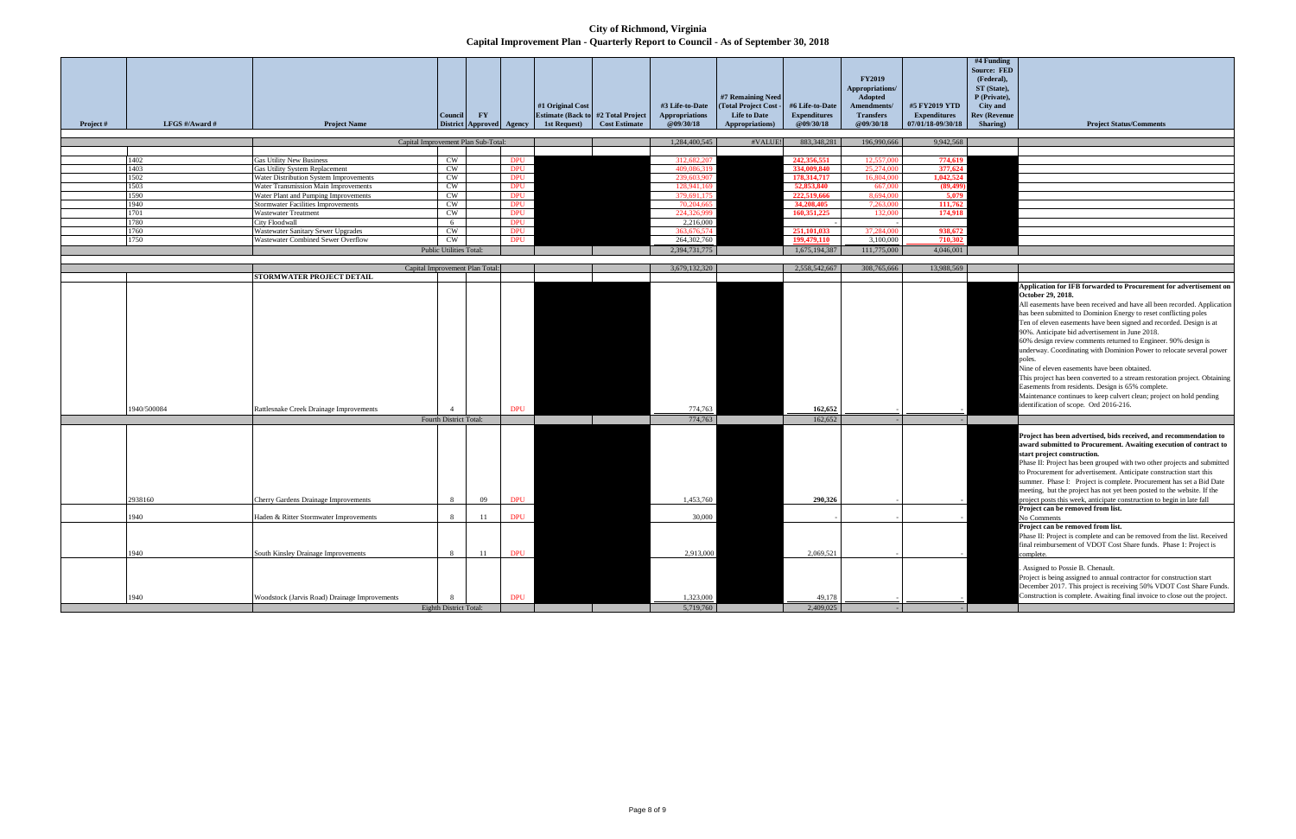**City of Richmond, Virginia Capital Improvement Plan - Quarterly Report to Council - As of September 30, 2018**

| Project # | LFGS #/Award #          | <b>Project Name</b>                                                                                                   | <b>Council</b>                           | <b>FY</b><br>District Approved Agency |                                        | #1 Original Cost<br>1st Request) | Estimate (Back to #2 Total Project<br><b>Cost Estimate</b> | #3 Life-to-Date<br>Appropriations<br>@09/30/18 | #7 Remaining Need<br>(Total Project Cost -<br><b>Life to Date</b><br>Appropriations) | #6 Life-to-Date<br><b>Expenditures</b><br>@09/30/18 | <b>FY2019</b><br>Appropriations/<br>Adopted<br>Amendments/<br><b>Transfers</b><br>@09/30/18 | #5 FY2019 YTD<br><b>Expenditures</b><br>07/01/18-09/30/18 |
|-----------|-------------------------|-----------------------------------------------------------------------------------------------------------------------|------------------------------------------|---------------------------------------|----------------------------------------|----------------------------------|------------------------------------------------------------|------------------------------------------------|--------------------------------------------------------------------------------------|-----------------------------------------------------|---------------------------------------------------------------------------------------------|-----------------------------------------------------------|
|           |                         |                                                                                                                       |                                          | Capital Improvement Plan Sub-Total:   |                                        |                                  |                                                            | 1,284,400,545                                  | #VALUE!                                                                              | 883,348,281                                         | 196,990,666                                                                                 | 9,942,568                                                 |
|           |                         |                                                                                                                       |                                          |                                       |                                        |                                  |                                                            |                                                |                                                                                      |                                                     |                                                                                             |                                                           |
|           | 1402                    | <b>Gas Utility New Business</b>                                                                                       | CW                                       |                                       | <b>DPU</b>                             |                                  |                                                            | 312,682,207                                    |                                                                                      | 242,356,551                                         | 12,557,000                                                                                  | 774,619                                                   |
|           | 1403                    | Gas Utility System Replacement                                                                                        | $\mathrm{CW}$                            |                                       | <b>DPU</b>                             |                                  |                                                            | 409,086,319                                    |                                                                                      | 334,009,840                                         | 25,274,000                                                                                  | 377,624                                                   |
|           | 1502                    | Water Distribution System Improvements                                                                                | CW                                       |                                       | <b>DPU</b>                             |                                  |                                                            | 239,603,907                                    |                                                                                      | 178,314,717                                         | 16,804,000                                                                                  | 1,042,524                                                 |
|           | 1503                    | Water Transmission Main Improvements                                                                                  | CW                                       |                                       | <b>DPU</b>                             |                                  |                                                            | 128,941,169                                    |                                                                                      | 52,853,840                                          | 667,000                                                                                     | (89, 499)                                                 |
|           | 1590                    | Water Plant and Pumping Improvements                                                                                  | $\mathrm{CW}$                            |                                       | <b>DPU</b>                             |                                  |                                                            | 379,691,175                                    |                                                                                      | 222,519,666                                         | 8,694,000                                                                                   | 5,079                                                     |
|           | 1940                    | <b>Stormwater Facilities Improvements</b>                                                                             | $\mathrm{CW}$                            |                                       | <b>DPU</b>                             |                                  |                                                            | 70,204,665                                     |                                                                                      | 34,208,405                                          | 7,263,000                                                                                   | 111,762                                                   |
|           | 1701                    | Wastewater Treatment                                                                                                  | $\mathrm{CW}$                            |                                       | <b>DPU</b>                             |                                  |                                                            | 224,326,999                                    |                                                                                      | 160,351,225                                         | 132,000                                                                                     | 174,918                                                   |
|           | 1780                    | <b>City Floodwall</b>                                                                                                 | 6                                        |                                       | <b>DPU</b>                             |                                  |                                                            | 2,216,000                                      |                                                                                      |                                                     |                                                                                             |                                                           |
|           | 1760<br>1750            | Wastewater Sanitary Sewer Upgrades<br>Wastewater Combined Sewer Overflow                                              | CW<br>$\mathrm{CW}$                      |                                       | <b>DPU</b><br><b>DPU</b>               |                                  |                                                            | 363,676,574<br>264,302,760                     |                                                                                      | 251,101,033<br>199,479,110                          | 37,284,000<br>3,100,000                                                                     | 938,672<br>710,302                                        |
|           |                         |                                                                                                                       |                                          |                                       |                                        |                                  |                                                            |                                                |                                                                                      |                                                     |                                                                                             |                                                           |
|           |                         |                                                                                                                       | Public Utilities Total:                  |                                       |                                        |                                  |                                                            | 2,394,731,775                                  |                                                                                      | 1,675,194,387                                       | 111,775,000                                                                                 | 4,046,001                                                 |
|           |                         |                                                                                                                       | Capital Improvement Plan Total:          |                                       |                                        |                                  |                                                            | 3,679,132,320                                  |                                                                                      | 2,558,542,667                                       | 308,765,666                                                                                 | 13,988,569                                                |
|           |                         | <b>STORMWATER PROJECT DETAIL</b>                                                                                      |                                          |                                       |                                        |                                  |                                                            |                                                |                                                                                      |                                                     |                                                                                             |                                                           |
|           | 1940/500084             | Rattlesnake Creek Drainage Improvements                                                                               | $\overline{4}$<br>Fourth District Total: |                                       | <b>DPU</b>                             |                                  |                                                            | 774,763<br>774,763                             |                                                                                      | 162,652<br>162,652                                  |                                                                                             |                                                           |
|           | 2938160<br>1940<br>1940 | Cherry Gardens Drainage Improvements<br>Haden & Ritter Stormwater Improvements<br>South Kinsley Drainage Improvements | 8<br>8<br>8                              | 09<br>11<br>11                        | <b>DPU</b><br><b>DPU</b><br><b>DPU</b> |                                  |                                                            | 1,453,760<br>30,000<br>2,913,000               |                                                                                      | 290,326<br>2,069,521                                |                                                                                             |                                                           |
|           |                         |                                                                                                                       |                                          |                                       |                                        |                                  |                                                            |                                                |                                                                                      |                                                     |                                                                                             |                                                           |
|           | 1940                    | Woodstock (Jarvis Road) Drainage Improvements                                                                         | 8                                        |                                       | <b>DPU</b>                             |                                  |                                                            | 1,323,000                                      |                                                                                      | 49,178                                              |                                                                                             |                                                           |
|           |                         |                                                                                                                       | Eighth District Total:                   |                                       |                                        |                                  |                                                            | 5,719,760                                      |                                                                                      | 2,409,025                                           |                                                                                             |                                                           |

|               | #4 Funding          |                                                                            |
|---------------|---------------------|----------------------------------------------------------------------------|
|               | <b>Source: FED</b>  |                                                                            |
|               | (Federal),          |                                                                            |
|               | ST (State),         |                                                                            |
|               | P (Private),        |                                                                            |
| ď             | <b>City and</b>     |                                                                            |
| š             | <b>Rev (Revenue</b> |                                                                            |
| $^{\prime}18$ | Sharing)            | <b>Project Status/Comments</b>                                             |
|               |                     |                                                                            |
| 568           |                     |                                                                            |
|               |                     |                                                                            |
| 519           |                     |                                                                            |
| 524           |                     |                                                                            |
| 524           |                     |                                                                            |
| 199)          |                     |                                                                            |
| )79           |                     |                                                                            |
| 762           |                     |                                                                            |
| D18           |                     |                                                                            |
|               |                     |                                                                            |
| 572           |                     |                                                                            |
|               |                     |                                                                            |
| 001           |                     |                                                                            |
|               |                     |                                                                            |
| 569           |                     |                                                                            |
|               |                     |                                                                            |
|               |                     | Application for IFB forwarded to Procurement for advertisement on          |
|               |                     | October 29, 2018.                                                          |
|               |                     | All easements have been received and have all been recorded. Application   |
|               |                     | has been submitted to Dominion Energy to reset conflicting poles           |
|               |                     | Ten of eleven easements have been signed and recorded. Design is at        |
|               |                     | 90%. Anticipate bid advertisement in June 2018.                            |
|               |                     | 60% design review comments returned to Engineer. 90% design is             |
|               |                     | underway. Coordinating with Dominion Power to relocate several power       |
|               |                     | poles.                                                                     |
|               |                     | Nine of eleven easements have been obtained.                               |
|               |                     | This project has been converted to a stream restoration project. Obtaining |
|               |                     | Easements from residents. Design is 65% complete.                          |
|               |                     | Maintenance continues to keep culvert clean; project on hold pending       |
|               |                     | identification of scope. Ord 2016-216.                                     |
|               |                     |                                                                            |
|               |                     |                                                                            |
|               |                     |                                                                            |
|               |                     | Project has been advertised, bids received, and recommendation to          |
|               |                     | award submitted to Procurement. Awaiting execution of contract to          |
|               |                     | start project construction.                                                |
|               |                     | Phase II: Project has been grouped with two other projects and submitted   |
|               |                     | to Procurement for advertisement. Anticipate construction start this       |
|               |                     | summer. Phase I: Project is complete. Procurement has set a Bid Date       |
|               |                     | meeting, but the project has not yet been posted to the website. If the    |
|               |                     | project posts this week, anticipate construction to begin in late fall     |
|               |                     | Project can be removed from list.                                          |
|               |                     | No Comments                                                                |
|               |                     | Project can be removed from list.                                          |
|               |                     | Phase II: Project is complete and can be removed from the list. Received   |
|               |                     | final reimbursement of VDOT Cost Share funds. Phase 1: Project is          |
|               |                     | complete                                                                   |
|               |                     |                                                                            |
|               |                     | . Assigned to Possie B. Chenault.                                          |
|               |                     | Project is being assigned to annual contractor for construction start      |
|               |                     | December 2017. This project is receiving 50% VDOT Cost Share Funds.        |
|               |                     | Construction is complete. Awaiting final invoice to close out the project. |
|               |                     |                                                                            |